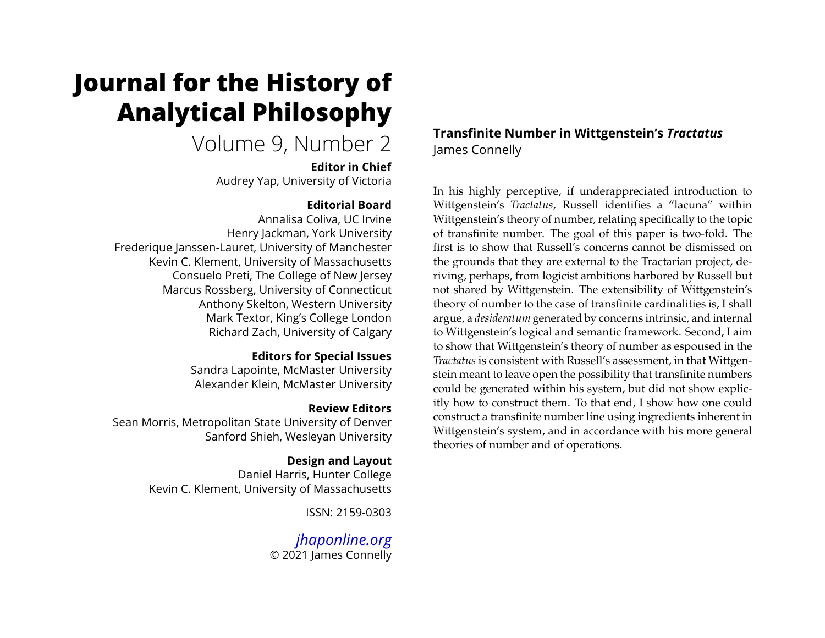# **Journal for the History of Analytical Philosophy**

# Volume 9, Number 2

**Editor in Chief** Audrey Yap, University of Victoria

#### **Editorial Board**

Annalisa Coliva, UC Irvine Henry Jackman, York University Frederique Janssen-Lauret, University of Manchester Kevin C. Klement, University of Massachusetts Consuelo Preti, The College of New Jersey Marcus Rossberg, University of Connecticut Anthony Skelton, Western University Mark Textor, King's College London Richard Zach, University of Calgary

#### **Editors for Special Issues**

Sandra Lapointe, McMaster University Alexander Klein, McMaster University

#### **Review Editors**

Sean Morris, Metropolitan State University of Denver Sanford Shieh, Wesleyan University

### **Design and Layout**

Daniel Harris, Hunter College Kevin C. Klement, University of Massachusetts

ISSN: 2159-0303

*[jhaponline.org](https://jhaponline.org)* © 2021 James Connelly **Transfinite Number in Wittgenstein's** *Tractatus* James Connelly

In his highly perceptive, if underappreciated introduction to Wittgenstein's *Tractatus*, Russell identifies a "lacuna" within Wittgenstein's theory of number, relating specifically to the topic of transfinite number. The goal of this paper is two-fold. The first is to show that Russell's concerns cannot be dismissed on the grounds that they are external to the Tractarian project, deriving, perhaps, from logicist ambitions harbored by Russell but not shared by Wittgenstein. The extensibility of Wittgenstein's theory of number to the case of transfinite cardinalities is, I shall argue, a *desideratum* generated by concerns intrinsic, and internal to Wittgenstein's logical and semantic framework. Second, I aim to show that Wittgenstein's theory of number as espoused in the *Tractatus* is consistent with Russell's assessment, in that Wittgenstein meant to leave open the possibility that transfinite numbers could be generated within his system, but did not show explicitly how to construct them. To that end, I show how one could construct a transfinite number line using ingredients inherent in Wittgenstein's system, and in accordance with his more general theories of number and of operations.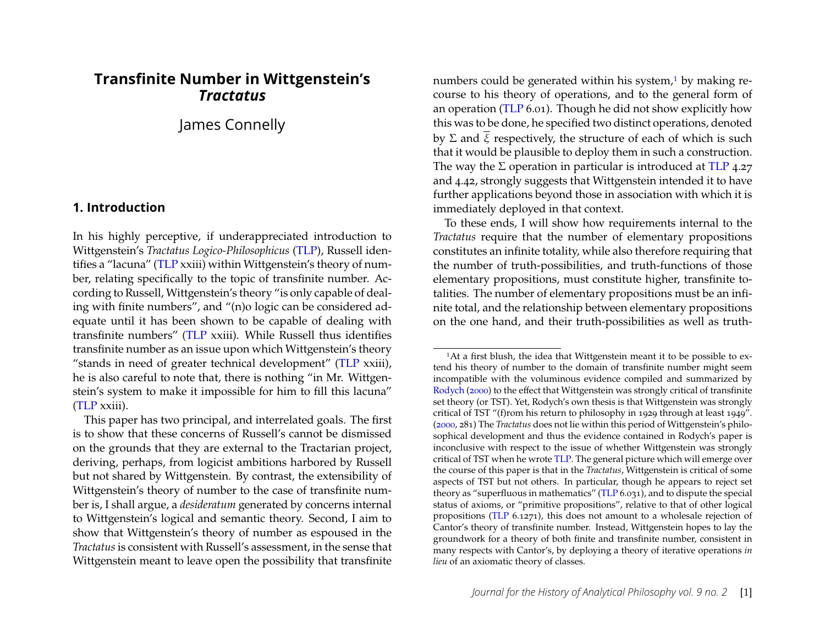## **Transfinite Number in Wittgenstein's** *Tractatus*

James Connelly

#### <span id="page-1-1"></span>**1. Introduction**

In his highly perceptive, if underappreciated introduction to Wittgenstein's *Tractatus Logico-Philosophicus* [\(TLP\)](#page-28-0), Russell identifies a "lacuna" [\(TLP](#page-28-0) xxiii) within Wittgenstein's theory of number, relating specifically to the topic of transfinite number. According to Russell, Wittgenstein's theory "is only capable of dealing with finite numbers", and "(n)o logic can be considered adequate until it has been shown to be capable of dealing with transfinite numbers" [\(TLP](#page-28-0) xxiii). While Russell thus identifies transfinite number as an issue upon which Wittgenstein's theory "stands in need of greater technical development" [\(TLP](#page-28-0) xxiii), he is also careful to note that, there is nothing "in Mr. Wittgenstein's system to make it impossible for him to fill this lacuna" [\(TLP](#page-28-0) xxiii).

This paper has two principal, and interrelated goals. The first is to show that these concerns of Russell's cannot be dismissed on the grounds that they are external to the Tractarian project, deriving, perhaps, from logicist ambitions harbored by Russell but not shared by Wittgenstein. By contrast, the extensibility of Wittgenstein's theory of number to the case of transfinite number is, I shall argue, a *desideratum* generated by concerns internal to Wittgenstein's logical and semantic theory. Second, I aim to show that Wittgenstein's theory of number as espoused in the *Tractatus*is consistent with Russell's assessment, in the sense that Wittgenstein meant to leave open the possibility that transfinite numbers could be generated within his system, $1$  by making recourse to his theory of operations, and to the general form of an operation [\(TLP](#page-28-0) 6.01). Though he did not show explicitly how this was to be done, he specified two distinct operations, denoted by  $\Sigma$  and  $\overline{\xi}$  respectively, the structure of each of which is such that it would be plausible to deploy them in such a construction. The way the  $\Sigma$  operation in particular is introduced at [TLP](#page-28-0) 4.27 and 4.42, strongly suggests that Wittgenstein intended it to have further applications beyond those in association with which it is immediately deployed in that context.

To these ends, I will show how requirements internal to the *Tractatus* require that the number of elementary propositions constitutes an infinite totality, while also therefore requiring that the number of truth-possibilities, and truth-functions of those elementary propositions, must constitute higher, transfinite totalities. The number of elementary propositions must be an infinite total, and the relationship between elementary propositions on the one hand, and their truth-possibilities as well as truth-

<span id="page-1-0"></span><sup>&</sup>lt;sup>1</sup>At a first blush, the idea that Wittgenstein meant it to be possible to extend his theory of number to the domain of transfinite number might seem incompatible with the voluminous evidence compiled and summarized by [Rodych](#page-27-0) [\(2000\)](#page-27-0) to the effect that Wittgenstein was strongly critical of transfinite set theory (or TST). Yet, Rodych's own thesis is that Wittgenstein was strongly critical of TST "(f)rom his return to philosophy in 1929 through at least 1949". [\(2000,](#page-27-0) 281) The *Tractatus* does not lie within this period of Wittgenstein's philosophical development and thus the evidence contained in Rodych's paper is inconclusive with respect to the issue of whether Wittgenstein was strongly critical of TST when he wrote [TLP.](#page-28-0) The general picture which will emerge over the course of this paper is that in the *Tractatus*, Wittgenstein is critical of some aspects of TST but not others. In particular, though he appears to reject set theory as "superfluous in mathematics" [\(TLP](#page-28-0) 6.031), and to dispute the special status of axioms, or "primitive propositions", relative to that of other logical propositions [\(TLP](#page-28-0) 6.1271), this does not amount to a wholesale rejection of Cantor's theory of transfinite number. Instead, Wittgenstein hopes to lay the groundwork for a theory of both finite and transfinite number, consistent in many respects with Cantor's, by deploying a theory of iterative operations *in lieu* of an axiomatic theory of classes.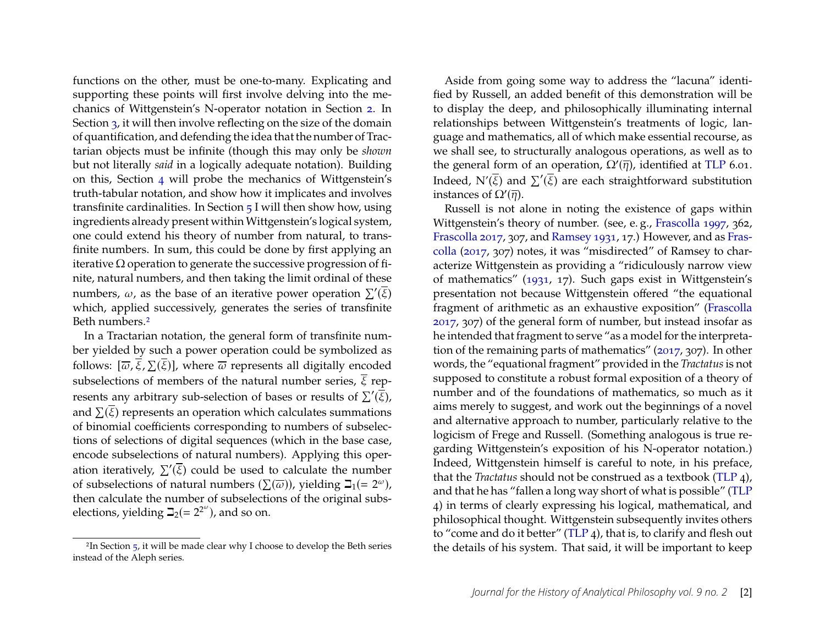functions on the other, must be one-to-many. Explicating and supporting these points will first involve delving into the mechanics of Wittgenstein's N-operator notation in Section [2.](#page-3-0) In Section [3,](#page-9-0) it will then involve reflecting on the size of the domain of quantification, and defending the idea that the number of Tractarian objects must be infinite (though this may only be *shown* but not literally *said* in a logically adequate notation). Building on this, Section [4](#page-14-0) will probe the mechanics of Wittgenstein's truth-tabular notation, and show how it implicates and involves transfinite cardinalities. In Section [5](#page-20-0) I will then show how, using ingredients already present within Wittgenstein's logical system, one could extend his theory of number from natural, to transfinite numbers. In sum, this could be done by first applying an iterative  $\Omega$  operation to generate the successive progression of finite, natural numbers, and then taking the limit ordinal of these numbers,  $\omega$ , as the base of an iterative power operation  $\Sigma'(\overline{\xi})$ which, applied successively, generates the series of transfinite Beth numbers.[2](#page-2-0)

In a Tractarian notation, the general form of transfinite number yielded by such a power operation could be symbolized as follows:  $[\overline{\omega},\overline{\xi},\Sigma(\overline{\xi})]$ , where  $\overline{\omega}$  represents all digitally encoded subselections of members of the natural number series,  $\overline{\xi}$  represents any arbitrary sub-selection of bases or results of  $\sum'(\overline{\xi})$ , and  $\Sigma(\overline{\xi})$  represents an operation which calculates summations of binomial coefficients corresponding to numbers of subselections of selections of digital sequences (which in the base case, encode subselections of natural numbers). Applying this operation iteratively,  $\sum'(\overline{\xi})$  could be used to calculate the number of subselections of natural numbers  $(\Sigma(\overline{\omega}))$ , yielding  $\Box_1(= 2^{\omega})$ , then calculate the number of subselections of the original subselections, yielding  $\beth_2(= 2^{2^{\omega}})$ , and so on.

Aside from going some way to address the "lacuna" identified by Russell, an added benefit of this demonstration will be to display the deep, and philosophically illuminating internal relationships between Wittgenstein's treatments of logic, language and mathematics, all of which make essential recourse, as we shall see, to structurally analogous operations, as well as to the general form of an operation,  $\Omega'(\overline{\eta})$ , identified at [TLP](#page-28-0) 6.01. Indeed,  $\mathrm{N}'(\overline{\xi})$  and  $\sum'(\overline{\xi})$  are each straightforward substitution instances of  $\Omega'(\overline{\eta})$ .

Russell is not alone in noting the existence of gaps within Wittgenstein's theory of number. (see, e. g., [Frascolla 1997,](#page-27-1) 362, [Frascolla 2017,](#page-27-2) 307, and [Ramsey 1931,](#page-27-3) 17.) However, and as [Fras](#page-27-2)[colla](#page-27-2) [\(2017,](#page-27-2) 307) notes, it was "misdirected" of Ramsey to characterize Wittgenstein as providing a "ridiculously narrow view of mathematics" [\(1931,](#page-27-3) 17). Such gaps exist in Wittgenstein's presentation not because Wittgenstein offered "the equational fragment of arithmetic as an exhaustive exposition" [\(Frascolla](#page-27-2) [2017,](#page-27-2) 307) of the general form of number, but instead insofar as he intended that fragment to serve "as a model for the interpretation of the remaining parts of mathematics" [\(2017,](#page-27-2) 307). In other words, the "equational fragment" provided in the *Tractatus*is not supposed to constitute a robust formal exposition of a theory of number and of the foundations of mathematics, so much as it aims merely to suggest, and work out the beginnings of a novel and alternative approach to number, particularly relative to the logicism of Frege and Russell. (Something analogous is true regarding Wittgenstein's exposition of his N-operator notation.) Indeed, Wittgenstein himself is careful to note, in his preface, that the *Tractatus* should not be construed as a textbook [\(TLP](#page-28-0) 4), and that he has "fallen a long way short of what is possible" [\(TLP](#page-28-0) 4) in terms of clearly expressing his logical, mathematical, and philosophical thought. Wittgenstein subsequently invites others to "come and do it better" [\(TLP](#page-28-0) 4), that is, to clarify and flesh out the details of his system. That said, it will be important to keep

<span id="page-2-0"></span><sup>&</sup>lt;sup>2</sup>In Section  $5$ , it will be made clear why I choose to develop the Beth series instead of the Aleph series.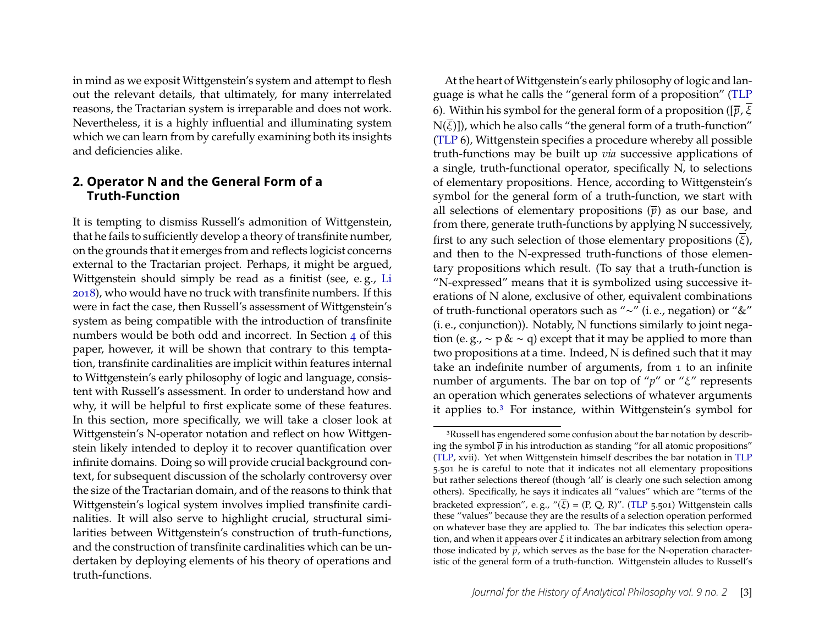in mind as we exposit Wittgenstein's system and attempt to flesh out the relevant details, that ultimately, for many interrelated reasons, the Tractarian system is irreparable and does not work. Nevertheless, it is a highly influential and illuminating system which we can learn from by carefully examining both its insights and deficiencies alike.

#### <span id="page-3-0"></span>**2. Operator N and the General Form of a Truth-Function**

It is tempting to dismiss Russell's admonition of Wittgenstein, that he fails to sufficiently develop a theory of transfinite number, on the grounds that it emerges from and reflects logicist concerns external to the Tractarian project. Perhaps, it might be argued, Wittgenstein should simply be read as a finitist (see, e. g., [Li](#page-27-4) [2018\)](#page-27-4), who would have no truck with transfinite numbers. If this were in fact the case, then Russell's assessment of Wittgenstein's system as being compatible with the introduction of transfinite numbers would be both odd and incorrect. In Section [4](#page-14-0) of this paper, however, it will be shown that contrary to this temptation, transfinite cardinalities are implicit within features internal to Wittgenstein's early philosophy of logic and language, consistent with Russell's assessment. In order to understand how and why, it will be helpful to first explicate some of these features. In this section, more specifically, we will take a closer look at Wittgenstein's N-operator notation and reflect on how Wittgenstein likely intended to deploy it to recover quantification over infinite domains. Doing so will provide crucial background context, for subsequent discussion of the scholarly controversy over the size of the Tractarian domain, and of the reasons to think that Wittgenstein's logical system involves implied transfinite cardinalities. It will also serve to highlight crucial, structural similarities between Wittgenstein's construction of truth-functions, and the construction of transfinite cardinalities which can be undertaken by deploying elements of his theory of operations and truth-functions.

At the heart of Wittgenstein's early philosophy of logic and language is what he calls the "general form of a proposition" [\(TLP](#page-28-0) 6). Within his symbol for the general form of a proposition ( $[\bar{p}, \bar{\xi}]$  $N(\overline{\xi})$ ]), which he also calls "the general form of a truth-function" [\(TLP](#page-28-0) 6), Wittgenstein specifies a procedure whereby all possible truth-functions may be built up *via* successive applications of a single, truth-functional operator, specifically N, to selections of elementary propositions. Hence, according to Wittgenstein's symbol for the general form of a truth-function, we start with all selections of elementary propositions  $(\bar{p})$  as our base, and from there, generate truth-functions by applying N successively, first to any such selection of those elementary propositions  $(\overline{\xi})$ , and then to the N-expressed truth-functions of those elementary propositions which result. (To say that a truth-function is "N-expressed" means that it is symbolized using successive iterations of N alone, exclusive of other, equivalent combinations of truth-functional operators such as "∼" (i. e., negation) or "&" (i. e., conjunction)). Notably, N functions similarly to joint negation (e. g.,  $\sim$  p &  $\sim$  q) except that it may be applied to more than two propositions at a time. Indeed, N is defined such that it may take an indefinite number of arguments, from 1 to an infinite number of arguments. The bar on top of " $p$ " or " $\xi$ " represents an operation which generates selections of whatever arguments it applies to.[3](#page-3-1) For instance, within Wittgenstein's symbol for

<span id="page-3-1"></span><sup>&</sup>lt;sup>3</sup>Russell has engendered some confusion about the bar notation by describing the symbol  $\bar{p}$  in his introduction as standing "for all atomic propositions" [\(TLP,](#page-28-0) xvii). Yet when Wittgenstein himself describes the bar notation in [TLP](#page-28-0) 5.501 he is careful to note that it indicates not all elementary propositions but rather selections thereof (though 'all' is clearly one such selection among others). Specifically, he says it indicates all "values" which are "terms of the bracketed expression", e.g., "( $\overline{\xi}$ ) = (P, Q, R)". [\(TLP](#page-28-0) 5.501) Wittgenstein calls these "values" because they are the results of a selection operation performed on whatever base they are applied to. The bar indicates this selection operation, and when it appears over  $\xi$  it indicates an arbitrary selection from among those indicated by  $\bar{p}$ , which serves as the base for the N-operation characteristic of the general form of a truth-function. Wittgenstein alludes to Russell's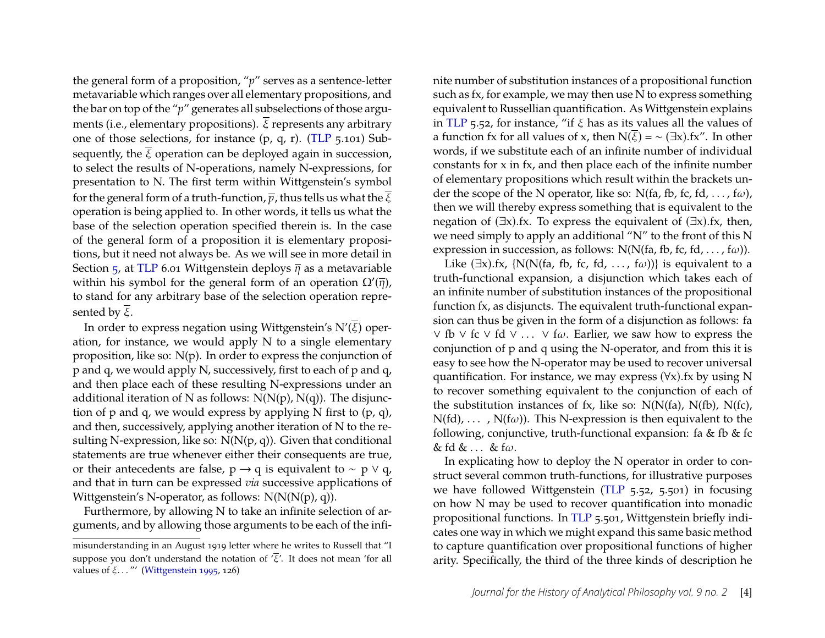the general form of a proposition, "*p*" serves as a sentence-letter metavariable which ranges over all elementary propositions, and the bar on top of the "*p*" generates all subselections of those arguments (i.e., elementary propositions).  $\overline{\xi}$  represents any arbitrary one of those selections, for instance (p, q, r). [\(TLP](#page-28-0) 5.101) Subsequently, the  $\overline{\xi}$  operation can be deployed again in succession, to select the results of N-operations, namely N-expressions, for presentation to N. The first term within Wittgenstein's symbol for the general form of a truth-function,  $\overline{p}$ , thus tells us what the  $\overline{\xi}$ operation is being applied to. In other words, it tells us what the base of the selection operation specified therein is. In the case of the general form of a proposition it is elementary propositions, but it need not always be. As we will see in more detail in Section  $\frac{1}{2}$ , at [TLP](#page-28-0) 6.01 Wittgenstein deploys  $\overline{\eta}$  as a metavariable within his symbol for the general form of an operation  $\Omega'(\overline{\eta})$ , to stand for any arbitrary base of the selection operation represented by  $\overline{\xi}$ .

In order to express negation using Wittgenstein's  $N'(\overline{\xi})$  operation, for instance, we would apply N to a single elementary proposition, like so:  $N(p)$ . In order to express the conjunction of p and q, we would apply N, successively, first to each of p and q, and then place each of these resulting N-expressions under an additional iteration of N as follows:  $N(N(p), N(q))$ . The disjunction of p and q, we would express by applying N first to (p, q), and then, successively, applying another iteration of  $N$  to the resulting N-expression, like so:  $N(N(p, q))$ . Given that conditional statements are true whenever either their consequents are true, or their antecedents are false,  $p \rightarrow q$  is equivalent to ~  $p \vee q$ , and that in turn can be expressed *via* successive applications of Wittgenstein's N-operator, as follows:  $N(N(N(p), q))$ .

Furthermore, by allowing N to take an infinite selection of arguments, and by allowing those arguments to be each of the infi-

nite number of substitution instances of a propositional function such as fx, for example, we may then use N to express something equivalent to Russellian quantification. As Wittgenstein explains in [TLP](#page-28-0) 5.52, for instance, "if  $\xi$  has as its values all the values of a function fx for all values of x, then  $N(\overline{\xi}) = \sim (\exists x) . f x''$ . In other words, if we substitute each of an infinite number of individual constants for x in fx, and then place each of the infinite number of elementary propositions which result within the brackets under the scope of the N operator, like so: N(fa, fb, fc, fd, ..., f $\omega$ ), then we will thereby express something that is equivalent to the negation of  $(\exists x)$ .fx. To express the equivalent of  $(\exists x)$ .fx, then, we need simply to apply an additional "N" to the front of this N expression in succession, as follows: N(N(fa, fb, fc, fd, ..., f $\omega$ )).

Like  $(\exists x)$ .fx, {N(N(fa, fb, fc, fd, ..., f $\omega$ ))} is equivalent to a truth-functional expansion, a disjunction which takes each of an infinite number of substitution instances of the propositional function fx, as disjuncts. The equivalent truth-functional expansion can thus be given in the form of a disjunction as follows: fa ∨ fb ∨ fc ∨ fd ∨ ... ∨ f $\omega$ . Earlier, we saw how to express the conjunction of p and q using the N-operator, and from this it is easy to see how the N-operator may be used to recover universal quantification. For instance, we may express  $(\forall x)$ .fx by using N to recover something equivalent to the conjunction of each of the substitution instances of fx, like so:  $N(N(fa), N(fb), N(fc))$ ,  $N(fd), \ldots, N(f\omega)$ ). This N-expression is then equivalent to the following, conjunctive, truth-functional expansion: fa & fb & fc &  $f$ d &  $\ldots$  &  $f$  $\omega$ .

In explicating how to deploy the N operator in order to construct several common truth-functions, for illustrative purposes we have followed Wittgenstein [\(TLP](#page-28-0) 5.52, 5.501) in focusing on how N may be used to recover quantification into monadic propositional functions. In [TLP](#page-28-0) 5.501, Wittgenstein briefly indicates one way in which we might expand this same basic method to capture quantification over propositional functions of higher arity. Specifically, the third of the three kinds of description he

misunderstanding in an August 1919 letter where he writes to Russell that "I suppose you don't understand the notation of  $\langle \overline{\xi}' \rangle$ . It does not mean 'for all values of  $\xi$ ..."' [\(Wittgenstein 1995,](#page-28-1) 126)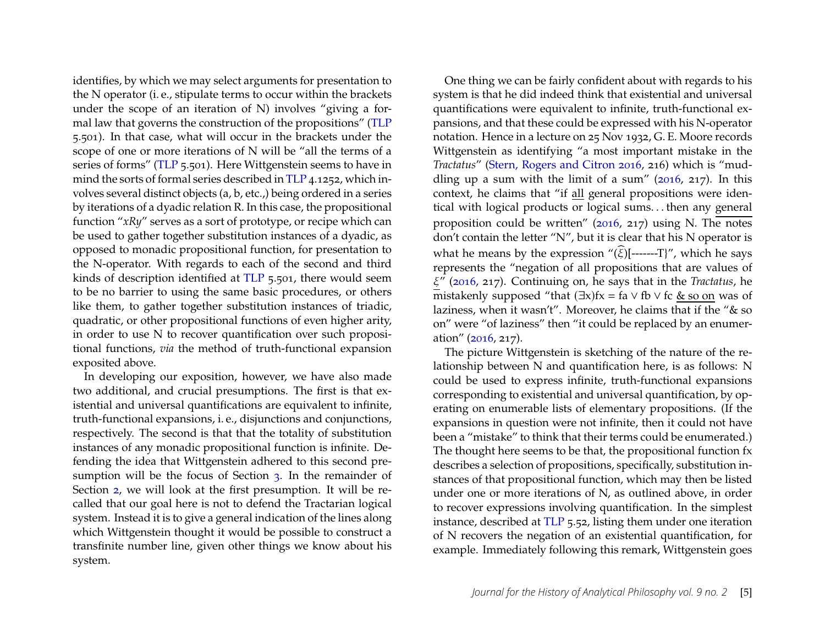identifies, by which we may select arguments for presentation to the N operator (i. e., stipulate terms to occur within the brackets under the scope of an iteration of N) involves "giving a formal law that governs the construction of the propositions" [\(TLP](#page-28-0) 5.501). In that case, what will occur in the brackets under the scope of one or more iterations of N will be "all the terms of a series of forms" [\(TLP](#page-28-0) 5.501). Here Wittgenstein seems to have in mind the sorts of formal series described in [TLP](#page-28-0) 4.1252, which involves several distinct objects (a, b, etc.,) being ordered in a series by iterations of a dyadic relation R. In this case, the propositional function "*xRy*" serves as a sort of prototype, or recipe which can be used to gather together substitution instances of a dyadic, as opposed to monadic propositional function, for presentation to the N-operator. With regards to each of the second and third kinds of description identified at [TLP](#page-28-0) 5.501, there would seem to be no barrier to using the same basic procedures, or others like them, to gather together substitution instances of triadic, quadratic, or other propositional functions of even higher arity, in order to use N to recover quantification over such propositional functions, *via* the method of truth-functional expansion exposited above.

In developing our exposition, however, we have also made two additional, and crucial presumptions. The first is that existential and universal quantifications are equivalent to infinite, truth-functional expansions, i. e., disjunctions and conjunctions, respectively. The second is that that the totality of substitution instances of any monadic propositional function is infinite. Defending the idea that Wittgenstein adhered to this second presumption will be the focus of Section [3.](#page-9-0) In the remainder of Section [2,](#page-3-0) we will look at the first presumption. It will be recalled that our goal here is not to defend the Tractarian logical system. Instead it is to give a general indication of the lines along which Wittgenstein thought it would be possible to construct a transfinite number line, given other things we know about his system.

One thing we can be fairly confident about with regards to his system is that he did indeed think that existential and universal quantifications were equivalent to infinite, truth-functional expansions, and that these could be expressed with his N-operator notation. Hence in a lecture on 25 Nov 1932, G. E. Moore records Wittgenstein as identifying "a most important mistake in the *Tractatus*" [\(Stern, Rogers and Citron 2016,](#page-28-2) 216) which is "muddling up a sum with the limit of a sum"  $(2016, 217)$ . In this context, he claims that "if all general propositions were identical with logical products or logical sums. . . then any general proposition could be written" [\(2016,](#page-28-2) 217) using N. The notes don't contain the letter "N", but it is clear that his N operator is what he means by the expression " $(\widehat{\xi})$ [-------T]", which he says represents the "negation of all propositions that are values of 𝜉" [\(2016,](#page-28-2) 217). Continuing on, he says that in the *Tractatus*, he mistakenly supposed "that  $(\exists x)$ fx = fa  $\vee$  fb  $\vee$  fc & so on was of laziness, when it wasn't". Moreover, he claims that if the "& so on" were "of laziness" then "it could be replaced by an enumeration" [\(2016,](#page-28-2) 217).

The picture Wittgenstein is sketching of the nature of the relationship between N and quantification here, is as follows: N could be used to express infinite, truth-functional expansions corresponding to existential and universal quantification, by operating on enumerable lists of elementary propositions. (If the expansions in question were not infinite, then it could not have been a "mistake" to think that their terms could be enumerated.) The thought here seems to be that, the propositional function fx describes a selection of propositions, specifically, substitution instances of that propositional function, which may then be listed under one or more iterations of N, as outlined above, in order to recover expressions involving quantification. In the simplest instance, described at [TLP](#page-28-0) 5.52, listing them under one iteration of N recovers the negation of an existential quantification, for example. Immediately following this remark, Wittgenstein goes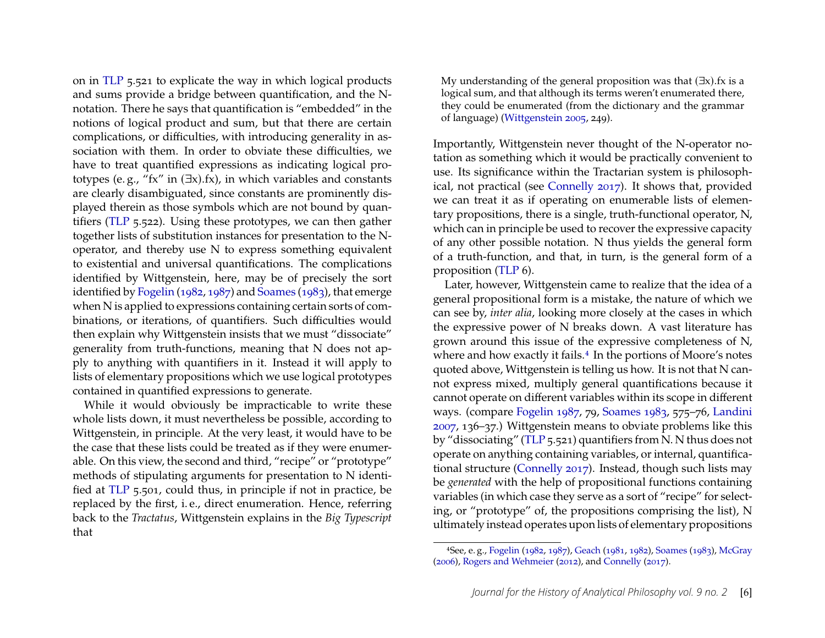on in [TLP](#page-28-0) 5.521 to explicate the way in which logical products and sums provide a bridge between quantification, and the Nnotation. There he says that quantification is "embedded" in the notions of logical product and sum, but that there are certain complications, or difficulties, with introducing generality in association with them. In order to obviate these difficulties, we have to treat quantified expressions as indicating logical prototypes (e.g., "fx" in  $(\exists x)$ .fx), in which variables and constants are clearly disambiguated, since constants are prominently displayed therein as those symbols which are not bound by quantifiers [\(TLP](#page-28-0) 5.522). Using these prototypes, we can then gather together lists of substitution instances for presentation to the Noperator, and thereby use N to express something equivalent to existential and universal quantifications. The complications identified by Wittgenstein, here, may be of precisely the sort identified by [Fogelin](#page-27-5) [\(1982,](#page-27-5) [1987\)](#page-27-6) and [Soames](#page-28-3) [\(1983\)](#page-28-3), that emerge when N is applied to expressions containing certain sorts of combinations, or iterations, of quantifiers. Such difficulties would then explain why Wittgenstein insists that we must "dissociate" generality from truth-functions, meaning that N does not apply to anything with quantifiers in it. Instead it will apply to lists of elementary propositions which we use logical prototypes contained in quantified expressions to generate.

While it would obviously be impracticable to write these whole lists down, it must nevertheless be possible, according to Wittgenstein, in principle. At the very least, it would have to be the case that these lists could be treated as if they were enumerable. On this view, the second and third, "recipe" or "prototype" methods of stipulating arguments for presentation to N identified at [TLP](#page-28-0) 5.501, could thus, in principle if not in practice, be replaced by the first, i. e., direct enumeration. Hence, referring back to the *Tractatus*, Wittgenstein explains in the *Big Typescript* that

My understanding of the general proposition was that (∃x).fx is a logical sum, and that although its terms weren't enumerated there, they could be enumerated (from the dictionary and the grammar of language) [\(Wittgenstein 2005,](#page-28-4) 249).

Importantly, Wittgenstein never thought of the N-operator notation as something which it would be practically convenient to use. Its significance within the Tractarian system is philosophical, not practical (see [Connelly 2017\)](#page-26-0). It shows that, provided we can treat it as if operating on enumerable lists of elementary propositions, there is a single, truth-functional operator, N, which can in principle be used to recover the expressive capacity of any other possible notation. N thus yields the general form of a truth-function, and that, in turn, is the general form of a proposition [\(TLP](#page-28-0) 6).

Later, however, Wittgenstein came to realize that the idea of a general propositional form is a mistake, the nature of which we can see by, *inter alia*, looking more closely at the cases in which the expressive power of N breaks down. A vast literature has grown around this issue of the expressive completeness of N, where and how exactly it fails.<sup>[4](#page-6-0)</sup> In the portions of Moore's notes quoted above, Wittgenstein is telling us how. It is not that N cannot express mixed, multiply general quantifications because it cannot operate on different variables within its scope in different ways. (compare [Fogelin 1987,](#page-27-6) 79, [Soames 1983,](#page-28-3) 575–76, [Landini](#page-27-7) [2007,](#page-27-7) 136–37.) Wittgenstein means to obviate problems like this by "dissociating" [\(TLP](#page-28-0) 5.521) quantifiers from N. N thus does not operate on anything containing variables, or internal, quantificational structure [\(Connelly 2017\)](#page-26-0). Instead, though such lists may be *generated* with the help of propositional functions containing variables (in which case they serve as a sort of "recipe" for selecting, or "prototype" of, the propositions comprising the list), N ultimately instead operates upon lists of elementary propositions

<span id="page-6-0"></span><sup>4</sup>See, e. g., [Fogelin](#page-27-5) [\(1982,](#page-27-5) [1987\)](#page-27-6), [Geach](#page-27-8) [\(1981,](#page-27-8) [1982\)](#page-27-9), [Soames](#page-28-3) [\(1983\)](#page-28-3), [McGray](#page-27-10) [\(2006\)](#page-27-10), [Rogers and Wehmeier](#page-27-11) [\(2012\)](#page-27-11), and [Connelly](#page-26-0) [\(2017\)](#page-26-0).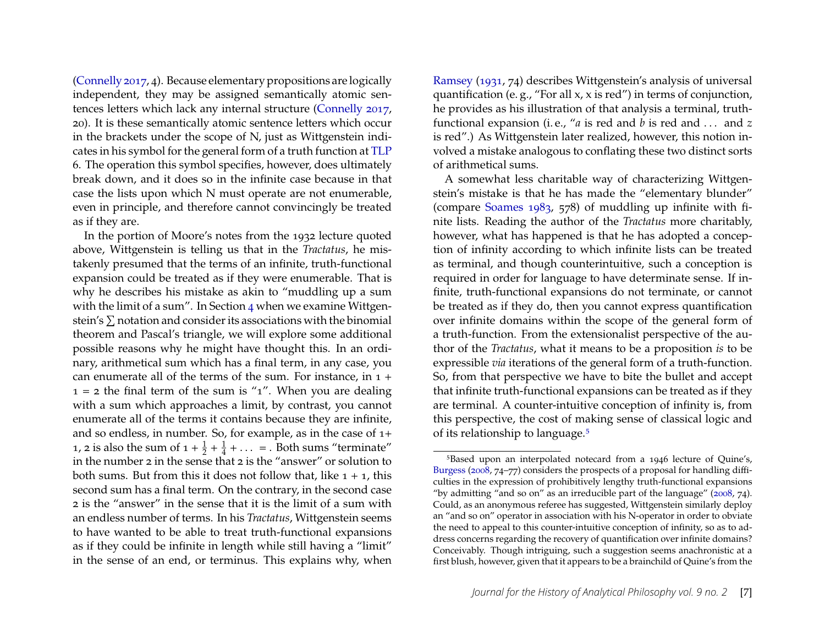[\(Connelly 2017,](#page-26-0) 4). Because elementary propositions are logically independent, they may be assigned semantically atomic sentences letters which lack any internal structure [\(Connelly 2017,](#page-26-0) 20). It is these semantically atomic sentence letters which occur in the brackets under the scope of N, just as Wittgenstein indicates in his symbol for the general form of a truth function at [TLP](#page-28-0) 6. The operation this symbol specifies, however, does ultimately break down, and it does so in the infinite case because in that case the lists upon which N must operate are not enumerable, even in principle, and therefore cannot convincingly be treated as if they are.

In the portion of Moore's notes from the 1932 lecture quoted above, Wittgenstein is telling us that in the *Tractatus*, he mistakenly presumed that the terms of an infinite, truth-functional expansion could be treated as if they were enumerable. That is why he describes his mistake as akin to "muddling up a sum with the limit of a sum". In Section [4](#page-14-0) when we examine Wittgenstein's  $\Sigma$  notation and consider its associations with the binomial theorem and Pascal's triangle, we will explore some additional possible reasons why he might have thought this. In an ordinary, arithmetical sum which has a final term, in any case, you can enumerate all of the terms of the sum. For instance, in 1 +  $1 = 2$  the final term of the sum is "1". When you are dealing with a sum which approaches a limit, by contrast, you cannot enumerate all of the terms it contains because they are infinite, and so endless, in number. So, for example, as in the case of 1+ 1, 2 is also the sum of  $1 + \frac{1}{2} + \frac{1}{4}$  $\frac{1}{4} + \ldots$  = . Both sums "terminate" in the number 2 in the sense that 2 is the "answer" or solution to both sums. But from this it does not follow that, like  $1 + 1$ , this second sum has a final term. On the contrary, in the second case 2 is the "answer" in the sense that it is the limit of a sum with an endless number of terms. In his *Tractatus*, Wittgenstein seems to have wanted to be able to treat truth-functional expansions as if they could be infinite in length while still having a "limit" in the sense of an end, or terminus. This explains why, when

[Ramsey](#page-27-3) [\(1931,](#page-27-3) 74) describes Wittgenstein's analysis of universal quantification (e. g., "For all x, x is red") in terms of conjunction, he provides as his illustration of that analysis a terminal, truthfunctional expansion (i. e., "*a* is red and *b* is red and . . . and *z* is red".) As Wittgenstein later realized, however, this notion involved a mistake analogous to conflating these two distinct sorts of arithmetical sums.

A somewhat less charitable way of characterizing Wittgenstein's mistake is that he has made the "elementary blunder" (compare [Soames 1983,](#page-28-3) 578) of muddling up infinite with finite lists. Reading the author of the *Tractatus* more charitably, however, what has happened is that he has adopted a conception of infinity according to which infinite lists can be treated as terminal, and though counterintuitive, such a conception is required in order for language to have determinate sense. If infinite, truth-functional expansions do not terminate, or cannot be treated as if they do, then you cannot express quantification over infinite domains within the scope of the general form of a truth-function. From the extensionalist perspective of the author of the *Tractatus*, what it means to be a proposition *is* to be expressible *via* iterations of the general form of a truth-function. So, from that perspective we have to bite the bullet and accept that infinite truth-functional expansions can be treated as if they are terminal. A counter-intuitive conception of infinity is, from this perspective, the cost of making sense of classical logic and of its relationship to language.[5](#page-7-0)

<span id="page-7-0"></span><sup>5</sup>Based upon an interpolated notecard from a 1946 lecture of Quine's, [Burgess](#page-26-1) [\(2008,](#page-26-1) 74–77) considers the prospects of a proposal for handling difficulties in the expression of prohibitively lengthy truth-functional expansions "by admitting "and so on" as an irreducible part of the language" [\(2008,](#page-26-1) 74). Could, as an anonymous referee has suggested, Wittgenstein similarly deploy an "and so on" operator in association with his N-operator in order to obviate the need to appeal to this counter-intuitive conception of infinity, so as to address concerns regarding the recovery of quantification over infinite domains? Conceivably. Though intriguing, such a suggestion seems anachronistic at a first blush, however, given that it appears to be a brainchild of Quine's from the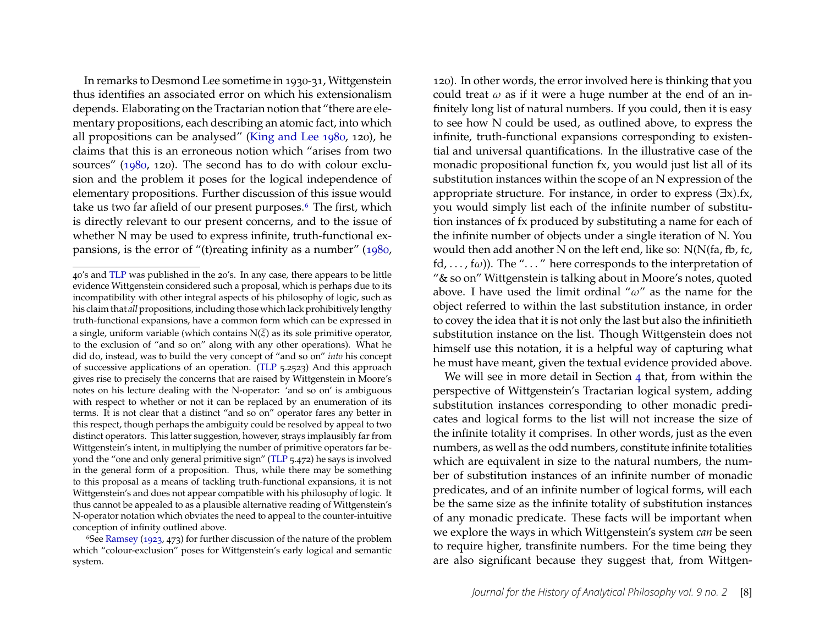In remarks to Desmond Lee sometime in 1930-31, Wittgenstein thus identifies an associated error on which his extensionalism depends. Elaborating on the Tractarian notion that "there are elementary propositions, each describing an atomic fact, into which all propositions can be analysed" [\(King and Lee 1980,](#page-27-12) 120), he claims that this is an erroneous notion which "arises from two sources" [\(1980,](#page-27-12) 120). The second has to do with colour exclusion and the problem it poses for the logical independence of elementary propositions. Further discussion of this issue would take us two far afield of our present purposes.<sup>[6](#page-8-0)</sup> The first, which is directly relevant to our present concerns, and to the issue of whether N may be used to express infinite, truth-functional expansions, is the error of "(t)reating infinity as a number" [\(1980,](#page-27-12)

120). In other words, the error involved here is thinking that you could treat  $\omega$  as if it were a huge number at the end of an infinitely long list of natural numbers. If you could, then it is easy to see how N could be used, as outlined above, to express the infinite, truth-functional expansions corresponding to existential and universal quantifications. In the illustrative case of the monadic propositional function fx, you would just list all of its substitution instances within the scope of an N expression of the appropriate structure. For instance, in order to express  $(\exists x)$ .fx, you would simply list each of the infinite number of substitution instances of fx produced by substituting a name for each of the infinite number of objects under a single iteration of N. You would then add another N on the left end, like so: N(N(fa, fb, fc, fd, ...,  $f\omega$ )). The "..." here corresponds to the interpretation of "& so on" Wittgenstein is talking about in Moore's notes, quoted above. I have used the limit ordinal " $\omega$ " as the name for the object referred to within the last substitution instance, in order to covey the idea that it is not only the last but also the infinitieth substitution instance on the list. Though Wittgenstein does not himself use this notation, it is a helpful way of capturing what he must have meant, given the textual evidence provided above.

We will see in more detail in Section [4](#page-14-0) that, from within the perspective of Wittgenstein's Tractarian logical system, adding substitution instances corresponding to other monadic predicates and logical forms to the list will not increase the size of the infinite totality it comprises. In other words, just as the even numbers, as well as the odd numbers, constitute infinite totalities which are equivalent in size to the natural numbers, the number of substitution instances of an infinite number of monadic predicates, and of an infinite number of logical forms, will each be the same size as the infinite totality of substitution instances of any monadic predicate. These facts will be important when we explore the ways in which Wittgenstein's system *can* be seen to require higher, transfinite numbers. For the time being they are also significant because they suggest that, from Wittgen-

<sup>40&#</sup>x27;s and [TLP](#page-28-0) was published in the 20's. In any case, there appears to be little evidence Wittgenstein considered such a proposal, which is perhaps due to its incompatibility with other integral aspects of his philosophy of logic, such as his claim that *all* propositions, including those which lack prohibitively lengthy truth-functional expansions, have a common form which can be expressed in a single, uniform variable (which contains  $N(\overline{\xi})$  as its sole primitive operator, to the exclusion of "and so on" along with any other operations). What he did do, instead, was to build the very concept of "and so on" *into* his concept of successive applications of an operation. [\(TLP](#page-28-0) 5.2523) And this approach gives rise to precisely the concerns that are raised by Wittgenstein in Moore's notes on his lecture dealing with the N-operator: 'and so on' is ambiguous with respect to whether or not it can be replaced by an enumeration of its terms. It is not clear that a distinct "and so on" operator fares any better in this respect, though perhaps the ambiguity could be resolved by appeal to two distinct operators. This latter suggestion, however, strays implausibly far from Wittgenstein's intent, in multiplying the number of primitive operators far beyond the "one and only general primitive sign" [\(TLP](#page-28-0) 5.472) he says is involved in the general form of a proposition. Thus, while there may be something to this proposal as a means of tackling truth-functional expansions, it is not Wittgenstein's and does not appear compatible with his philosophy of logic. It thus cannot be appealed to as a plausible alternative reading of Wittgenstein's N-operator notation which obviates the need to appeal to the counter-intuitive conception of infinity outlined above.

<span id="page-8-0"></span><sup>&</sup>lt;sup>6</sup>See [Ramsey](#page-27-13) [\(1923,](#page-27-13) 473) for further discussion of the nature of the problem which "colour-exclusion" poses for Wittgenstein's early logical and semantic system.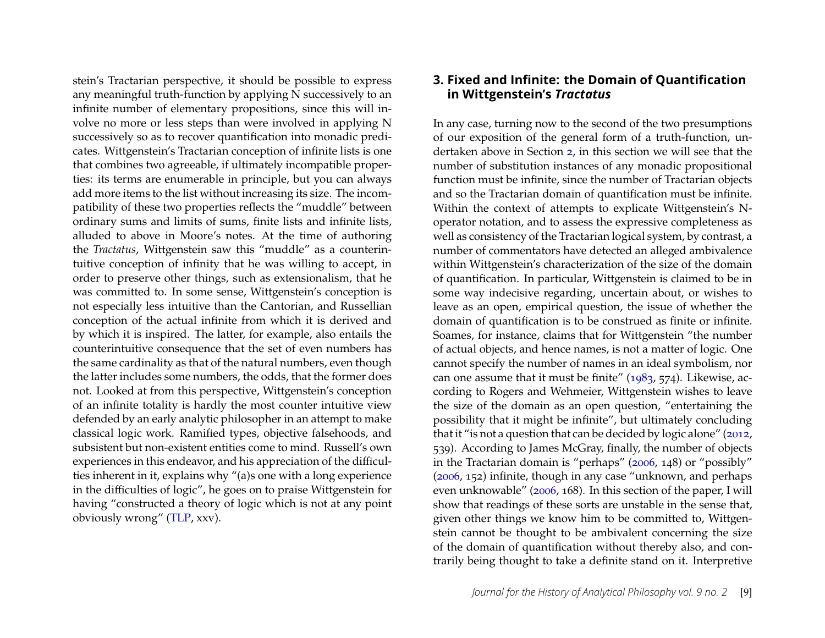stein's Tractarian perspective, it should be possible to express any meaningful truth-function by applying N successively to an infinite number of elementary propositions, since this will involve no more or less steps than were involved in applying N successively so as to recover quantification into monadic predicates. Wittgenstein's Tractarian conception of infinite lists is one that combines two agreeable, if ultimately incompatible properties: its terms are enumerable in principle, but you can always add more items to the list without increasing its size. The incompatibility of these two properties reflects the "muddle" between ordinary sums and limits of sums, finite lists and infinite lists, alluded to above in Moore's notes. At the time of authoring the *Tractatus*, Wittgenstein saw this "muddle" as a counterintuitive conception of infinity that he was willing to accept, in order to preserve other things, such as extensionalism, that he was committed to. In some sense, Wittgenstein's conception is not especially less intuitive than the Cantorian, and Russellian conception of the actual infinite from which it is derived and by which it is inspired. The latter, for example, also entails the counterintuitive consequence that the set of even numbers has the same cardinality as that of the natural numbers, even though the latter includes some numbers, the odds, that the former does not. Looked at from this perspective, Wittgenstein's conception of an infinite totality is hardly the most counter intuitive view defended by an early analytic philosopher in an attempt to make classical logic work. Ramified types, objective falsehoods, and subsistent but non-existent entities come to mind. Russell's own experiences in this endeavor, and his appreciation of the difficulties inherent in it, explains why "(a)s one with a long experience in the difficulties of logic", he goes on to praise Wittgenstein for having "constructed a theory of logic which is not at any point obviously wrong" [\(TLP,](#page-28-0) xxv).

#### <span id="page-9-0"></span>**3. Fixed and Infinite: the Domain of Quantification in Wittgenstein's** *Tractatus*

In any case, turning now to the second of the two presumptions of our exposition of the general form of a truth-function, undertaken above in Section [2,](#page-3-0) in this section we will see that the number of substitution instances of any monadic propositional function must be infinite, since the number of Tractarian objects and so the Tractarian domain of quantification must be infinite. Within the context of attempts to explicate Wittgenstein's Noperator notation, and to assess the expressive completeness as well as consistency of the Tractarian logical system, by contrast, a number of commentators have detected an alleged ambivalence within Wittgenstein's characterization of the size of the domain of quantification. In particular, Wittgenstein is claimed to be in some way indecisive regarding, uncertain about, or wishes to leave as an open, empirical question, the issue of whether the domain of quantification is to be construed as finite or infinite. Soames, for instance, claims that for Wittgenstein "the number of actual objects, and hence names, is not a matter of logic. One cannot specify the number of names in an ideal symbolism, nor can one assume that it must be finite" [\(1983,](#page-28-3) 574). Likewise, according to Rogers and Wehmeier, Wittgenstein wishes to leave the size of the domain as an open question, "entertaining the possibility that it might be infinite", but ultimately concluding that it "is not a question that can be decided by logic alone" [\(2012,](#page-27-11) 539). According to James McGray, finally, the number of objects in the Tractarian domain is "perhaps" [\(2006,](#page-27-10) 148) or "possibly" [\(2006,](#page-27-10) 152) infinite, though in any case "unknown, and perhaps even unknowable" [\(2006,](#page-27-10) 168). In this section of the paper, I will show that readings of these sorts are unstable in the sense that, given other things we know him to be committed to, Wittgenstein cannot be thought to be ambivalent concerning the size of the domain of quantification without thereby also, and contrarily being thought to take a definite stand on it. Interpretive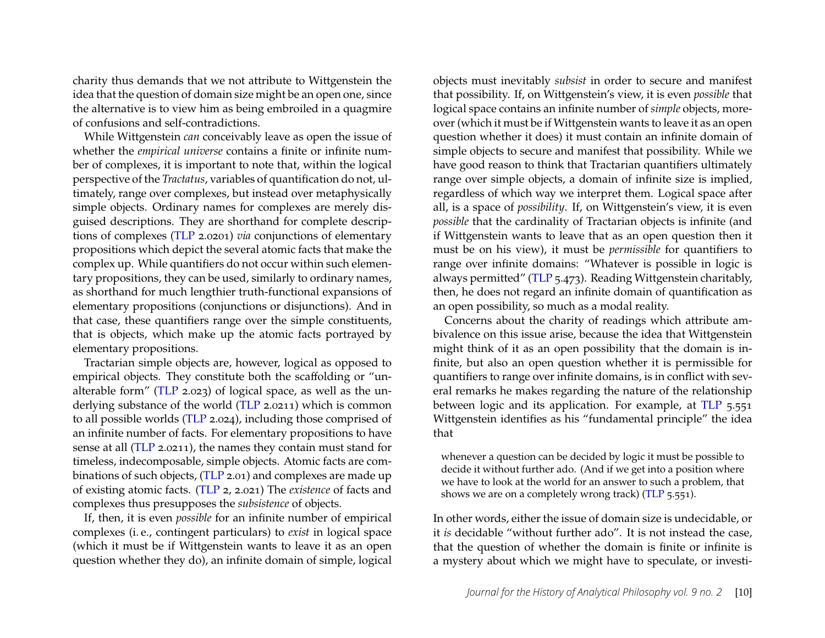charity thus demands that we not attribute to Wittgenstein the idea that the question of domain size might be an open one, since the alternative is to view him as being embroiled in a quagmire of confusions and self-contradictions.

While Wittgenstein *can* conceivably leave as open the issue of whether the *empirical universe* contains a finite or infinite number of complexes, it is important to note that, within the logical perspective of the *Tractatus*, variables of quantification do not, ultimately, range over complexes, but instead over metaphysically simple objects. Ordinary names for complexes are merely disguised descriptions. They are shorthand for complete descriptions of complexes [\(TLP](#page-28-0) 2.0201) *via* conjunctions of elementary propositions which depict the several atomic facts that make the complex up. While quantifiers do not occur within such elementary propositions, they can be used, similarly to ordinary names, as shorthand for much lengthier truth-functional expansions of elementary propositions (conjunctions or disjunctions). And in that case, these quantifiers range over the simple constituents, that is objects, which make up the atomic facts portrayed by elementary propositions.

Tractarian simple objects are, however, logical as opposed to empirical objects. They constitute both the scaffolding or "unalterable form" [\(TLP](#page-28-0) 2.023) of logical space, as well as the underlying substance of the world [\(TLP](#page-28-0) 2.0211) which is common to all possible worlds [\(TLP](#page-28-0) 2.024), including those comprised of an infinite number of facts. For elementary propositions to have sense at all [\(TLP](#page-28-0) 2.0211), the names they contain must stand for timeless, indecomposable, simple objects. Atomic facts are combinations of such objects, [\(TLP](#page-28-0) 2.01) and complexes are made up of existing atomic facts. [\(TLP](#page-28-0) 2, 2.021) The *existence* of facts and complexes thus presupposes the *subsistence* of objects.

If, then, it is even *possible* for an infinite number of empirical complexes (i. e., contingent particulars) to *exist* in logical space (which it must be if Wittgenstein wants to leave it as an open question whether they do), an infinite domain of simple, logical objects must inevitably *subsist* in order to secure and manifest that possibility. If, on Wittgenstein's view, it is even *possible* that logical space contains an infinite number of *simple* objects, moreover (which it must be if Wittgenstein wants to leave it as an open question whether it does) it must contain an infinite domain of simple objects to secure and manifest that possibility. While we have good reason to think that Tractarian quantifiers ultimately range over simple objects, a domain of infinite size is implied, regardless of which way we interpret them. Logical space after all, is a space of *possibility*. If, on Wittgenstein's view, it is even *possible* that the cardinality of Tractarian objects is infinite (and if Wittgenstein wants to leave that as an open question then it must be on his view), it must be *permissible* for quantifiers to range over infinite domains: "Whatever is possible in logic is always permitted" [\(TLP](#page-28-0) 5.473). Reading Wittgenstein charitably, then, he does not regard an infinite domain of quantification as an open possibility, so much as a modal reality.

Concerns about the charity of readings which attribute ambivalence on this issue arise, because the idea that Wittgenstein might think of it as an open possibility that the domain is infinite, but also an open question whether it is permissible for quantifiers to range over infinite domains, is in conflict with several remarks he makes regarding the nature of the relationship between logic and its application. For example, at [TLP](#page-28-0) 5.551 Wittgenstein identifies as his "fundamental principle" the idea that

whenever a question can be decided by logic it must be possible to decide it without further ado. (And if we get into a position where we have to look at the world for an answer to such a problem, that shows we are on a completely wrong track) [\(TLP](#page-28-0) 5.551).

In other words, either the issue of domain size is undecidable, or it *is* decidable "without further ado". It is not instead the case, that the question of whether the domain is finite or infinite is a mystery about which we might have to speculate, or investi-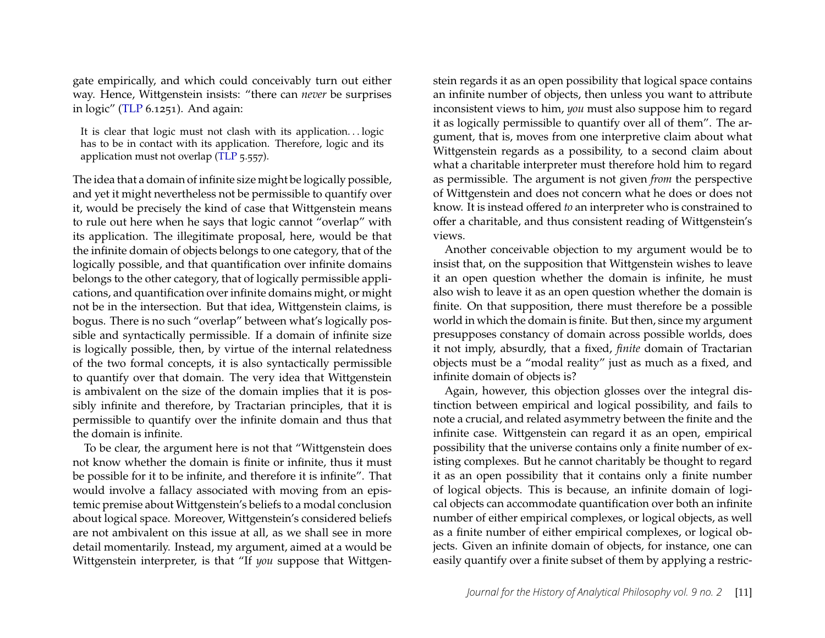gate empirically, and which could conceivably turn out either way. Hence, Wittgenstein insists: "there can *never* be surprises in logic" [\(TLP](#page-28-0) 6.1251). And again:

It is clear that logic must not clash with its application. . . logic has to be in contact with its application. Therefore, logic and its application must not overlap [\(TLP](#page-28-0) 5.557).

The idea that a domain of infinite size might be logically possible, and yet it might nevertheless not be permissible to quantify over it, would be precisely the kind of case that Wittgenstein means to rule out here when he says that logic cannot "overlap" with its application. The illegitimate proposal, here, would be that the infinite domain of objects belongs to one category, that of the logically possible, and that quantification over infinite domains belongs to the other category, that of logically permissible applications, and quantification over infinite domains might, or might not be in the intersection. But that idea, Wittgenstein claims, is bogus. There is no such "overlap" between what's logically possible and syntactically permissible. If a domain of infinite size is logically possible, then, by virtue of the internal relatedness of the two formal concepts, it is also syntactically permissible to quantify over that domain. The very idea that Wittgenstein is ambivalent on the size of the domain implies that it is possibly infinite and therefore, by Tractarian principles, that it is permissible to quantify over the infinite domain and thus that the domain is infinite.

To be clear, the argument here is not that "Wittgenstein does not know whether the domain is finite or infinite, thus it must be possible for it to be infinite, and therefore it is infinite". That would involve a fallacy associated with moving from an epistemic premise about Wittgenstein's beliefs to a modal conclusion about logical space. Moreover, Wittgenstein's considered beliefs are not ambivalent on this issue at all, as we shall see in more detail momentarily. Instead, my argument, aimed at a would be Wittgenstein interpreter, is that "If *you* suppose that Wittgen-

stein regards it as an open possibility that logical space contains an infinite number of objects, then unless you want to attribute inconsistent views to him, *you* must also suppose him to regard it as logically permissible to quantify over all of them". The argument, that is, moves from one interpretive claim about what Wittgenstein regards as a possibility, to a second claim about what a charitable interpreter must therefore hold him to regard as permissible. The argument is not given *from* the perspective of Wittgenstein and does not concern what he does or does not know. It is instead offered *to* an interpreter who is constrained to offer a charitable, and thus consistent reading of Wittgenstein's views.

Another conceivable objection to my argument would be to insist that, on the supposition that Wittgenstein wishes to leave it an open question whether the domain is infinite, he must also wish to leave it as an open question whether the domain is finite. On that supposition, there must therefore be a possible world in which the domain is finite. But then, since my argument presupposes constancy of domain across possible worlds, does it not imply, absurdly, that a fixed, *finite* domain of Tractarian objects must be a "modal reality" just as much as a fixed, and infinite domain of objects is?

Again, however, this objection glosses over the integral distinction between empirical and logical possibility, and fails to note a crucial, and related asymmetry between the finite and the infinite case. Wittgenstein can regard it as an open, empirical possibility that the universe contains only a finite number of existing complexes. But he cannot charitably be thought to regard it as an open possibility that it contains only a finite number of logical objects. This is because, an infinite domain of logical objects can accommodate quantification over both an infinite number of either empirical complexes, or logical objects, as well as a finite number of either empirical complexes, or logical objects. Given an infinite domain of objects, for instance, one can easily quantify over a finite subset of them by applying a restric-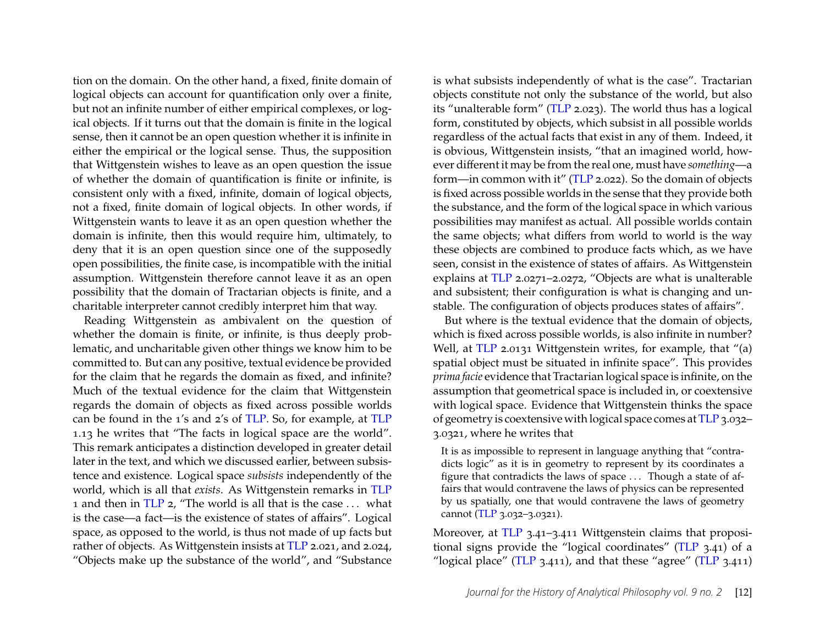tion on the domain. On the other hand, a fixed, finite domain of logical objects can account for quantification only over a finite, but not an infinite number of either empirical complexes, or logical objects. If it turns out that the domain is finite in the logical sense, then it cannot be an open question whether it is infinite in either the empirical or the logical sense. Thus, the supposition that Wittgenstein wishes to leave as an open question the issue of whether the domain of quantification is finite or infinite, is consistent only with a fixed, infinite, domain of logical objects, not a fixed, finite domain of logical objects. In other words, if Wittgenstein wants to leave it as an open question whether the domain is infinite, then this would require him, ultimately, to deny that it is an open question since one of the supposedly open possibilities, the finite case, is incompatible with the initial assumption. Wittgenstein therefore cannot leave it as an open possibility that the domain of Tractarian objects is finite, and a charitable interpreter cannot credibly interpret him that way.

Reading Wittgenstein as ambivalent on the question of whether the domain is finite, or infinite, is thus deeply problematic, and uncharitable given other things we know him to be committed to. But can any positive, textual evidence be provided for the claim that he regards the domain as fixed, and infinite? Much of the textual evidence for the claim that Wittgenstein regards the domain of objects as fixed across possible worlds can be found in the 1's and 2's of [TLP.](#page-28-0) So, for example, at [TLP](#page-28-0) 1.13 he writes that "The facts in logical space are the world". This remark anticipates a distinction developed in greater detail later in the text, and which we discussed earlier, between subsistence and existence. Logical space *subsists* independently of the world, which is all that *exists*. As Wittgenstein remarks in [TLP](#page-28-0) 1 and then in [TLP](#page-28-0) 2, "The world is all that is the case . . . what is the case—a fact—is the existence of states of affairs". Logical space, as opposed to the world, is thus not made of up facts but rather of objects. As Wittgenstein insists at [TLP](#page-28-0) 2.021, and 2.024, "Objects make up the substance of the world", and "Substance is what subsists independently of what is the case". Tractarian objects constitute not only the substance of the world, but also its "unalterable form" [\(TLP](#page-28-0) 2.023). The world thus has a logical form, constituted by objects, which subsist in all possible worlds regardless of the actual facts that exist in any of them. Indeed, it is obvious, Wittgenstein insists, "that an imagined world, however different it may be from the real one, must have *something*—a form—in common with it" [\(TLP](#page-28-0) 2.022). So the domain of objects is fixed across possible worlds in the sense that they provide both the substance, and the form of the logical space in which various possibilities may manifest as actual. All possible worlds contain the same objects; what differs from world to world is the way these objects are combined to produce facts which, as we have seen, consist in the existence of states of affairs. As Wittgenstein explains at [TLP](#page-28-0) 2.0271–2.0272, "Objects are what is unalterable and subsistent; their configuration is what is changing and unstable. The configuration of objects produces states of affairs".

But where is the textual evidence that the domain of objects, which is fixed across possible worlds, is also infinite in number? Well, at [TLP](#page-28-0) 2.0131 Wittgenstein writes, for example, that "(a) spatial object must be situated in infinite space". This provides *prima facie* evidence that Tractarian logical space is infinite, on the assumption that geometrical space is included in, or coextensive with logical space. Evidence that Wittgenstein thinks the space of geometry is coextensive with logical space comes at [TLP](#page-28-0) 3.032– 3.0321, where he writes that

It is as impossible to represent in language anything that "contradicts logic" as it is in geometry to represent by its coordinates a figure that contradicts the laws of space . . . Though a state of affairs that would contravene the laws of physics can be represented by us spatially, one that would contravene the laws of geometry cannot [\(TLP](#page-28-0) 3.032–3.0321).

Moreover, at [TLP](#page-28-0) 3.41–3.411 Wittgenstein claims that propositional signs provide the "logical coordinates" [\(TLP](#page-28-0) 3.41) of a "logical place" [\(TLP](#page-28-0) 3.411), and that these "agree" [\(TLP](#page-28-0) 3.411)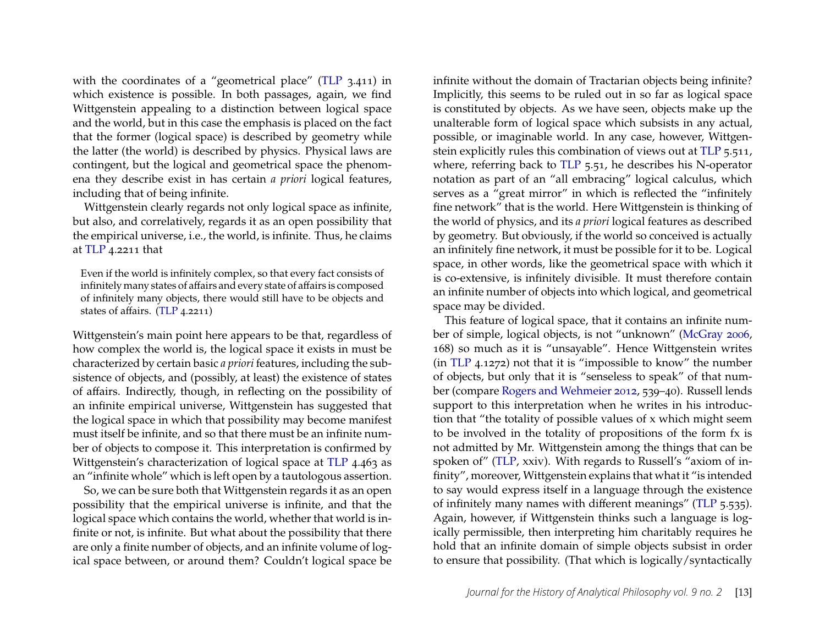with the coordinates of a "geometrical place" [\(TLP](#page-28-0) 3.411) in which existence is possible. In both passages, again, we find Wittgenstein appealing to a distinction between logical space and the world, but in this case the emphasis is placed on the fact that the former (logical space) is described by geometry while the latter (the world) is described by physics. Physical laws are contingent, but the logical and geometrical space the phenomena they describe exist in has certain *a priori* logical features, including that of being infinite.

Wittgenstein clearly regards not only logical space as infinite, but also, and correlatively, regards it as an open possibility that the empirical universe, i.e., the world, is infinite. Thus, he claims at [TLP](#page-28-0) 4.2211 that

Even if the world is infinitely complex, so that every fact consists of infinitely many states of affairs and every state of affairs is composed of infinitely many objects, there would still have to be objects and states of affairs. [\(TLP](#page-28-0) 4.2211)

Wittgenstein's main point here appears to be that, regardless of how complex the world is, the logical space it exists in must be characterized by certain basic *a priori* features, including the subsistence of objects, and (possibly, at least) the existence of states of affairs. Indirectly, though, in reflecting on the possibility of an infinite empirical universe, Wittgenstein has suggested that the logical space in which that possibility may become manifest must itself be infinite, and so that there must be an infinite number of objects to compose it. This interpretation is confirmed by Wittgenstein's characterization of logical space at [TLP](#page-28-0) 4.463 as an "infinite whole" which is left open by a tautologous assertion.

So, we can be sure both that Wittgenstein regards it as an open possibility that the empirical universe is infinite, and that the logical space which contains the world, whether that world is infinite or not, is infinite. But what about the possibility that there are only a finite number of objects, and an infinite volume of logical space between, or around them? Couldn't logical space be

infinite without the domain of Tractarian objects being infinite? Implicitly, this seems to be ruled out in so far as logical space is constituted by objects. As we have seen, objects make up the unalterable form of logical space which subsists in any actual, possible, or imaginable world. In any case, however, Wittgenstein explicitly rules this combination of views out at [TLP](#page-28-0) 5.511, where, referring back to [TLP](#page-28-0) 5.51, he describes his N-operator notation as part of an "all embracing" logical calculus, which serves as a "great mirror" in which is reflected the "infinitely fine network" that is the world. Here Wittgenstein is thinking of the world of physics, and its *a priori* logical features as described by geometry. But obviously, if the world so conceived is actually an infinitely fine network, it must be possible for it to be. Logical space, in other words, like the geometrical space with which it is co-extensive, is infinitely divisible. It must therefore contain an infinite number of objects into which logical, and geometrical space may be divided.

This feature of logical space, that it contains an infinite number of simple, logical objects, is not "unknown" [\(McGray 2006,](#page-27-10) 168) so much as it is "unsayable". Hence Wittgenstein writes (in [TLP](#page-28-0) 4.1272) not that it is "impossible to know" the number of objects, but only that it is "senseless to speak" of that number (compare [Rogers and Wehmeier 2012,](#page-27-11) 539–40). Russell lends support to this interpretation when he writes in his introduction that "the totality of possible values of x which might seem to be involved in the totality of propositions of the form fx is not admitted by Mr. Wittgenstein among the things that can be spoken of" [\(TLP,](#page-28-0) xxiv). With regards to Russell's "axiom of infinity", moreover, Wittgenstein explains that what it "is intended to say would express itself in a language through the existence of infinitely many names with different meanings" [\(TLP](#page-28-0) 5.535). Again, however, if Wittgenstein thinks such a language is logically permissible, then interpreting him charitably requires he hold that an infinite domain of simple objects subsist in order to ensure that possibility. (That which is logically/syntactically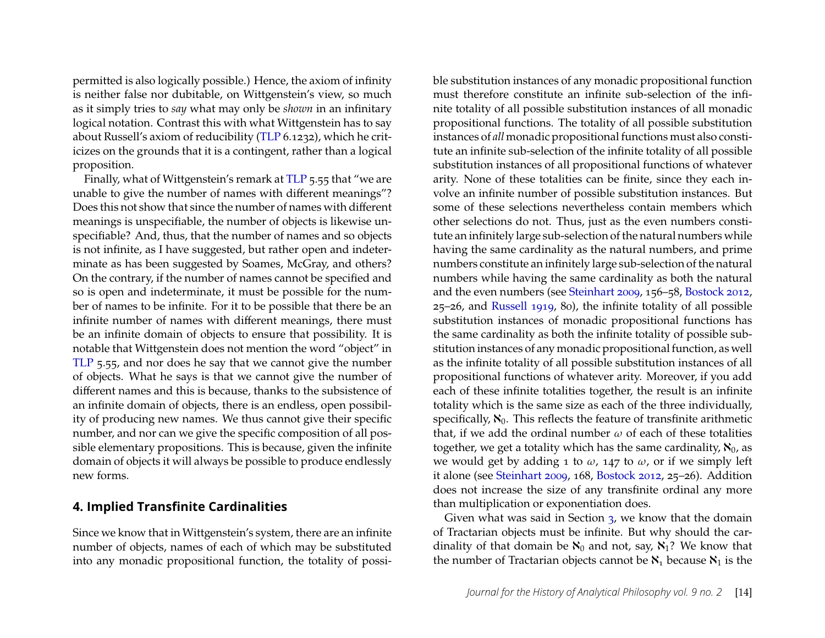permitted is also logically possible.) Hence, the axiom of infinity is neither false nor dubitable, on Wittgenstein's view, so much as it simply tries to *say* what may only be *shown* in an infinitary logical notation. Contrast this with what Wittgenstein has to say about Russell's axiom of reducibility [\(TLP](#page-28-0) 6.1232), which he criticizes on the grounds that it is a contingent, rather than a logical proposition.

Finally, what of Wittgenstein's remark at [TLP](#page-28-0) 5.55 that "we are unable to give the number of names with different meanings"? Does this not show that since the number of names with different meanings is unspecifiable, the number of objects is likewise unspecifiable? And, thus, that the number of names and so objects is not infinite, as I have suggested, but rather open and indeterminate as has been suggested by Soames, McGray, and others? On the contrary, if the number of names cannot be specified and so is open and indeterminate, it must be possible for the number of names to be infinite. For it to be possible that there be an infinite number of names with different meanings, there must be an infinite domain of objects to ensure that possibility. It is notable that Wittgenstein does not mention the word "object" in [TLP](#page-28-0) 5.55, and nor does he say that we cannot give the number of objects. What he says is that we cannot give the number of different names and this is because, thanks to the subsistence of an infinite domain of objects, there is an endless, open possibility of producing new names. We thus cannot give their specific number, and nor can we give the specific composition of all possible elementary propositions. This is because, given the infinite domain of objects it will always be possible to produce endlessly new forms.

#### <span id="page-14-0"></span>**4. Implied Transfinite Cardinalities**

Since we know that in Wittgenstein's system, there are an infinite number of objects, names of each of which may be substituted into any monadic propositional function, the totality of possi-

ble substitution instances of any monadic propositional function must therefore constitute an infinite sub-selection of the infinite totality of all possible substitution instances of all monadic propositional functions. The totality of all possible substitution instances of *all* monadic propositional functions must also constitute an infinite sub-selection of the infinite totality of all possible substitution instances of all propositional functions of whatever arity. None of these totalities can be finite, since they each involve an infinite number of possible substitution instances. But some of these selections nevertheless contain members which other selections do not. Thus, just as the even numbers constitute an infinitely large sub-selection of the natural numbers while having the same cardinality as the natural numbers, and prime numbers constitute an infinitely large sub-selection of the natural numbers while having the same cardinality as both the natural and the even numbers (see [Steinhart 2009,](#page-28-5) 156–58, [Bostock 2012,](#page-26-2) 25–26, and [Russell 1919,](#page-28-6) 80), the infinite totality of all possible substitution instances of monadic propositional functions has the same cardinality as both the infinite totality of possible substitution instances of any monadic propositional function, as well as the infinite totality of all possible substitution instances of all propositional functions of whatever arity. Moreover, if you add each of these infinite totalities together, the result is an infinite totality which is the same size as each of the three individually, specifically,  $\aleph_0$ . This reflects the feature of transfinite arithmetic that, if we add the ordinal number  $\omega$  of each of these totalities together, we get a totality which has the same cardinality,  $\aleph_0$ , as we would get by adding 1 to  $\omega$ , 147 to  $\omega$ , or if we simply left it alone (see [Steinhart 2009,](#page-28-5) 168, [Bostock 2012,](#page-26-2) 25–26). Addition does not increase the size of any transfinite ordinal any more than multiplication or exponentiation does.

Given what was said in Section [3,](#page-9-0) we know that the domain of Tractarian objects must be infinite. But why should the cardinality of that domain be  $\aleph_0$  and not, say,  $\aleph_1$ ? We know that the number of Tractarian objects cannot be  $\aleph_1$  because  $\aleph_1$  is the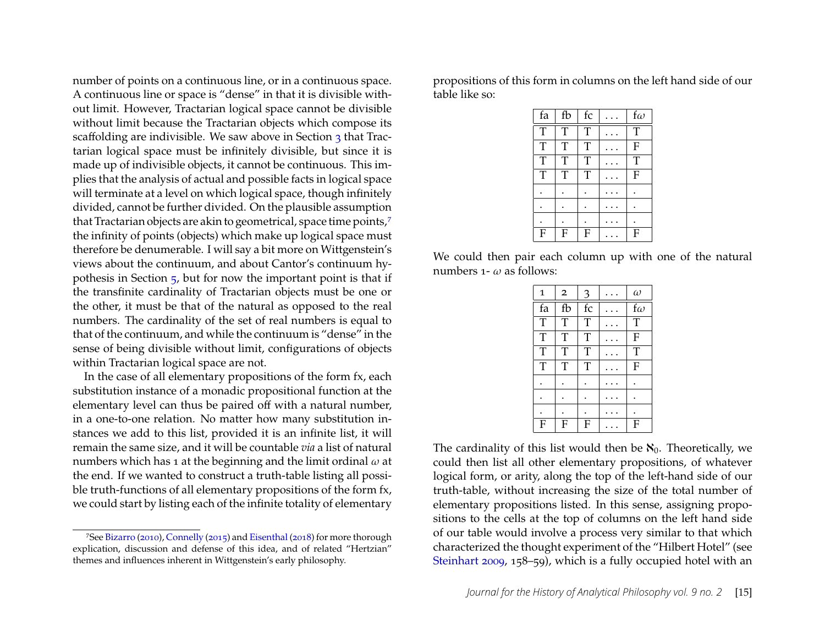number of points on a continuous line, or in a continuous space. A continuous line or space is "dense" in that it is divisible without limit. However, Tractarian logical space cannot be divisible without limit because the Tractarian objects which compose its scaffolding are indivisible. We saw above in Section [3](#page-9-0) that Tractarian logical space must be infinitely divisible, but since it is made up of indivisible objects, it cannot be continuous. This implies that the analysis of actual and possible facts in logical space will terminate at a level on which logical space, though infinitely divided, cannot be further divided. On the plausible assumption that Tractarian objects are akin to geometrical, space time points,<sup>[7](#page-15-0)</sup> the infinity of points (objects) which make up logical space must therefore be denumerable. I will say a bit more on Wittgenstein's views about the continuum, and about Cantor's continuum hypothesis in Section [5,](#page-20-0) but for now the important point is that if the transfinite cardinality of Tractarian objects must be one or the other, it must be that of the natural as opposed to the real numbers. The cardinality of the set of real numbers is equal to that of the continuum, and while the continuum is "dense" in the sense of being divisible without limit, configurations of objects within Tractarian logical space are not.

In the case of all elementary propositions of the form fx, each substitution instance of a monadic propositional function at the elementary level can thus be paired off with a natural number, in a one-to-one relation. No matter how many substitution instances we add to this list, provided it is an infinite list, it will remain the same size, and it will be countable *via* a list of natural numbers which has 1 at the beginning and the limit ordinal  $\omega$  at the end. If we wanted to construct a truth-table listing all possible truth-functions of all elementary propositions of the form fx, we could start by listing each of the infinite totality of elementary

<span id="page-15-0"></span>7See [Bizarro](#page-26-3) [\(2010\)](#page-26-3), [Connelly](#page-26-4) [\(2015\)](#page-26-4) and [Eisenthal](#page-27-14) [\(2018\)](#page-27-14) for more thorough explication, discussion and defense of this idea, and of related "Hertzian" themes and influences inherent in Wittgenstein's early philosophy.

propositions of this form in columns on the left hand side of our table like so:

| fa                      | fb               | fc | $f\omega$      |
|-------------------------|------------------|----|----------------|
| $\overline{\mathrm{T}}$ | T                | T  | T              |
| $\overline{T}$          | T                | T  | $\overline{F}$ |
| T                       | T                | T  | T              |
| $\overline{\mathrm{T}}$ | T                | T  | ${\bf F}$      |
|                         |                  |    |                |
|                         |                  |    |                |
|                         |                  |    |                |
| $\mathbf F$             | $\boldsymbol{F}$ | F  | $\mathbf{F}$   |

We could then pair each column up with one of the natural numbers 1-  $\omega$  as follows:

| $\mathbf{1}$   | $\overline{2}$ | 3                       | $\omega$       |
|----------------|----------------|-------------------------|----------------|
| fa             | fb             | $\operatorname{\sf fc}$ | $f\omega$      |
| $\overline{T}$ | T              | $\overline{T}$          | $\overline{T}$ |
| $\overline{T}$ | $\overline{T}$ | $\overline{\mathrm{T}}$ | $\mathbf F$    |
| $\overline{T}$ | T              | T                       | $\overline{T}$ |
| $\overline{T}$ | $\overline{T}$ | $\overline{T}$          | $\overline{F}$ |
|                |                |                         |                |
|                |                |                         |                |
|                |                |                         |                |
| F              | F              | F                       | $\mathbf F$    |

The cardinality of this list would then be  $\aleph_0$ . Theoretically, we could then list all other elementary propositions, of whatever logical form, or arity, along the top of the left-hand side of our truth-table, without increasing the size of the total number of elementary propositions listed. In this sense, assigning propositions to the cells at the top of columns on the left hand side of our table would involve a process very similar to that which characterized the thought experiment of the "Hilbert Hotel" (see [Steinhart 2009,](#page-28-5) 158–59), which is a fully occupied hotel with an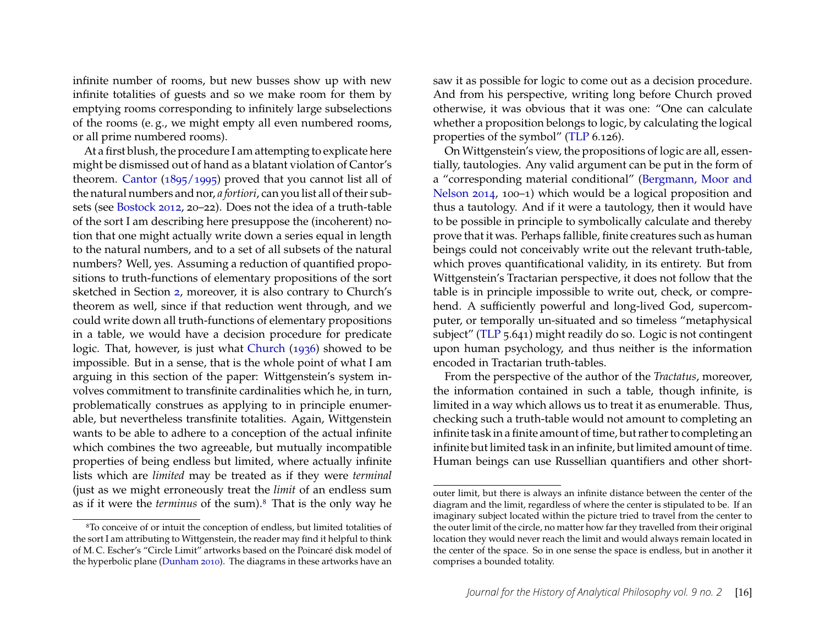infinite number of rooms, but new busses show up with new infinite totalities of guests and so we make room for them by emptying rooms corresponding to infinitely large subselections of the rooms (e. g., we might empty all even numbered rooms, or all prime numbered rooms).

At a first blush, the procedure I am attempting to explicate here might be dismissed out of hand as a blatant violation of Cantor's theorem. [Cantor](#page-26-5) [\(1895/1995\)](#page-26-5) proved that you cannot list all of the natural numbers and nor, *a fortiori*, can you list all of their subsets (see [Bostock 2012,](#page-26-2) 20–22). Does not the idea of a truth-table of the sort I am describing here presuppose the (incoherent) notion that one might actually write down a series equal in length to the natural numbers, and to a set of all subsets of the natural numbers? Well, yes. Assuming a reduction of quantified propositions to truth-functions of elementary propositions of the sort sketched in Section [2,](#page-3-0) moreover, it is also contrary to Church's theorem as well, since if that reduction went through, and we could write down all truth-functions of elementary propositions in a table, we would have a decision procedure for predicate logic. That, however, is just what [Church](#page-27-15) [\(1936\)](#page-27-15) showed to be impossible. But in a sense, that is the whole point of what I am arguing in this section of the paper: Wittgenstein's system involves commitment to transfinite cardinalities which he, in turn, problematically construes as applying to in principle enumerable, but nevertheless transfinite totalities. Again, Wittgenstein wants to be able to adhere to a conception of the actual infinite which combines the two agreeable, but mutually incompatible properties of being endless but limited, where actually infinite lists which are *limited* may be treated as if they were *terminal* (just as we might erroneously treat the *limit* of an endless sum as if it were the *terminus* of the sum).[8](#page-16-0) That is the only way he saw it as possible for logic to come out as a decision procedure. And from his perspective, writing long before Church proved otherwise, it was obvious that it was one: "One can calculate whether a proposition belongs to logic, by calculating the logical properties of the symbol" [\(TLP](#page-28-0) 6.126).

On Wittgenstein's view, the propositions of logic are all, essentially, tautologies. Any valid argument can be put in the form of a "corresponding material conditional" [\(Bergmann, Moor and](#page-26-6) [Nelson 2014,](#page-26-6) 100–1) which would be a logical proposition and thus a tautology. And if it were a tautology, then it would have to be possible in principle to symbolically calculate and thereby prove that it was. Perhaps fallible, finite creatures such as human beings could not conceivably write out the relevant truth-table, which proves quantificational validity, in its entirety. But from Wittgenstein's Tractarian perspective, it does not follow that the table is in principle impossible to write out, check, or comprehend. A sufficiently powerful and long-lived God, supercomputer, or temporally un-situated and so timeless "metaphysical subject" [\(TLP](#page-28-0) 5.641) might readily do so. Logic is not contingent upon human psychology, and thus neither is the information encoded in Tractarian truth-tables.

From the perspective of the author of the *Tractatus*, moreover, the information contained in such a table, though infinite, is limited in a way which allows us to treat it as enumerable. Thus, checking such a truth-table would not amount to completing an infinite task in a finite amount of time, but rather to completing an infinite but limited task in an infinite, but limited amount of time. Human beings can use Russellian quantifiers and other short-

<span id="page-16-0"></span><sup>8</sup>To conceive of or intuit the conception of endless, but limited totalities of the sort I am attributing to Wittgenstein, the reader may find it helpful to think of M. C. Escher's "Circle Limit" artworks based on the Poincaré disk model of the hyperbolic plane [\(Dunham 2010\)](#page-27-16). The diagrams in these artworks have an

outer limit, but there is always an infinite distance between the center of the diagram and the limit, regardless of where the center is stipulated to be. If an imaginary subject located within the picture tried to travel from the center to the outer limit of the circle, no matter how far they travelled from their original location they would never reach the limit and would always remain located in the center of the space. So in one sense the space is endless, but in another it comprises a bounded totality.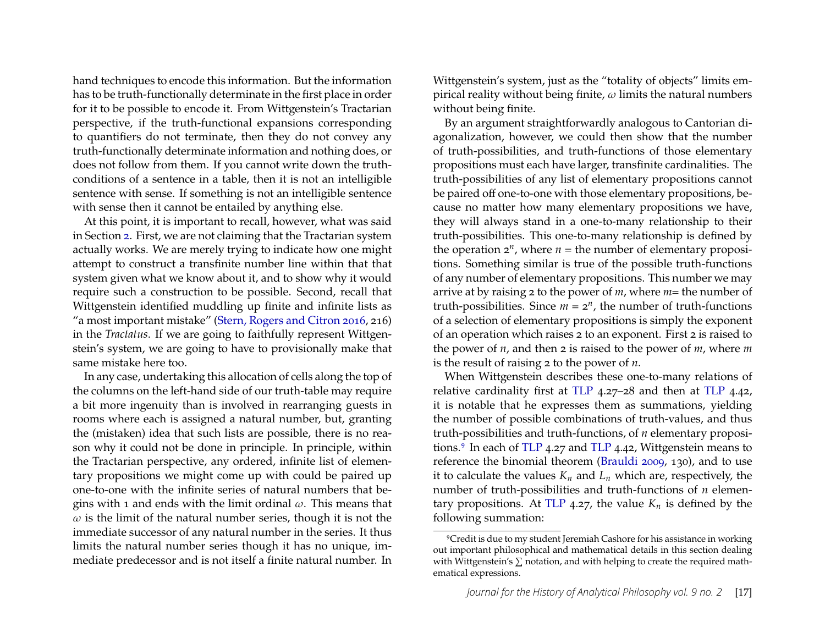hand techniques to encode this information. But the information has to be truth-functionally determinate in the first place in order for it to be possible to encode it. From Wittgenstein's Tractarian perspective, if the truth-functional expansions corresponding to quantifiers do not terminate, then they do not convey any truth-functionally determinate information and nothing does, or does not follow from them. If you cannot write down the truthconditions of a sentence in a table, then it is not an intelligible sentence with sense. If something is not an intelligible sentence with sense then it cannot be entailed by anything else.

At this point, it is important to recall, however, what was said in Section [2.](#page-3-0) First, we are not claiming that the Tractarian system actually works. We are merely trying to indicate how one might attempt to construct a transfinite number line within that that system given what we know about it, and to show why it would require such a construction to be possible. Second, recall that Wittgenstein identified muddling up finite and infinite lists as "a most important mistake" [\(Stern, Rogers and Citron 2016,](#page-28-2) 216) in the *Tractatus*. If we are going to faithfully represent Wittgenstein's system, we are going to have to provisionally make that same mistake here too.

In any case, undertaking this allocation of cells along the top of the columns on the left-hand side of our truth-table may require a bit more ingenuity than is involved in rearranging guests in rooms where each is assigned a natural number, but, granting the (mistaken) idea that such lists are possible, there is no reason why it could not be done in principle. In principle, within the Tractarian perspective, any ordered, infinite list of elementary propositions we might come up with could be paired up one-to-one with the infinite series of natural numbers that begins with 1 and ends with the limit ordinal  $\omega$ . This means that  $\omega$  is the limit of the natural number series, though it is not the immediate successor of any natural number in the series. It thus limits the natural number series though it has no unique, immediate predecessor and is not itself a finite natural number. In Wittgenstein's system, just as the "totality of objects" limits empirical reality without being finite,  $\omega$  limits the natural numbers without being finite.

By an argument straightforwardly analogous to Cantorian diagonalization, however, we could then show that the number of truth-possibilities, and truth-functions of those elementary propositions must each have larger, transfinite cardinalities. The truth-possibilities of any list of elementary propositions cannot be paired off one-to-one with those elementary propositions, because no matter how many elementary propositions we have, they will always stand in a one-to-many relationship to their truth-possibilities. This one-to-many relationship is defined by the operation  $2^n$ , where  $n =$  the number of elementary propositions. Something similar is true of the possible truth-functions of any number of elementary propositions. This number we may arrive at by raising 2 to the power of *m*, where *m*= the number of truth-possibilities. Since  $m = 2^n$ , the number of truth-functions of a selection of elementary propositions is simply the exponent of an operation which raises 2 to an exponent. First 2 is raised to the power of *n*, and then 2 is raised to the power of *m*, where *m* is the result of raising 2 to the power of *n*.

When Wittgenstein describes these one-to-many relations of relative cardinality first at [TLP](#page-28-0) 4.27–28 and then at [TLP](#page-28-0) 4.42, it is notable that he expresses them as summations, yielding the number of possible combinations of truth-values, and thus truth-possibilities and truth-functions, of *n* elementary propositions.[9](#page-17-0) In each of [TLP](#page-28-0) 4.27 and [TLP](#page-28-0) 4.42, Wittgenstein means to reference the binomial theorem [\(Brauldi 2009,](#page-26-7) 130), and to use it to calculate the values  $K_n$  and  $L_n$  which are, respectively, the number of truth-possibilities and truth-functions of *n* elemen-tary propositions. At [TLP](#page-28-0) 4.27, the value  $K_n$  is defined by the following summation:

<span id="page-17-0"></span><sup>9</sup>Credit is due to my student Jeremiah Cashore for his assistance in working out important philosophical and mathematical details in this section dealing with Wittgenstein's  $\sum$  notation, and with helping to create the required mathematical expressions.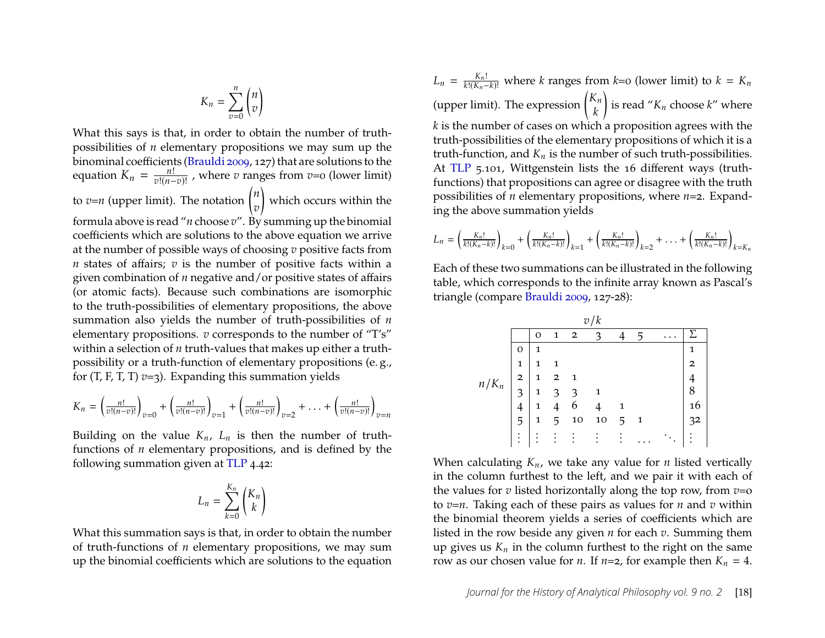$$
K_n = \sum_{v=0}^n \binom{n}{v}
$$

What this says is that, in order to obtain the number of truthpossibilities of *n* elementary propositions we may sum up the binominal coefficients [\(Brauldi 2009,](#page-26-7) 127) that are solutions to the equation  $K_n = \frac{n!}{v!(n-1)!}$  $\frac{n!}{v!(n-v)!}$ , where *v* ranges from *v*=0 (lower limit) to  $v=n$  (upper limit). The notation  $\binom{n}{n}$  $\overline{v}$  $\overline{\mathcal{L}}$ which occurs within the formula above is read "*n* choose *v*". By summing up the binomial coefficients which are solutions to the above equation we arrive at the number of possible ways of choosing *v* positive facts from *n* states of affairs; *v* is the number of positive facts within a given combination of *n* negative and/or positive states of affairs (or atomic facts). Because such combinations are isomorphic to the truth-possibilities of elementary propositions, the above summation also yields the number of truth-possibilities of *n* elementary propositions. *v* corresponds to the number of "T's" within a selection of *n* truth-values that makes up either a truthpossibility or a truth-function of elementary propositions (e. g., for  $(T, F, T, T)$   $\nu = 3$ ). Expanding this summation yields

$$
K_n = \left(\frac{n!}{v!(n-v)!}\right)_{v=0} + \left(\frac{n!}{v!(n-v)!}\right)_{v=1} + \left(\frac{n!}{v!(n-v)!}\right)_{v=2} + \ldots + \left(\frac{n!}{v!(n-v)!}\right)_{v=n}
$$

Building on the value  $K_n$ ,  $L_n$  is then the number of truthfunctions of *n* elementary propositions, and is defined by the following summation given at [TLP](#page-28-0) 4.42:

$$
L_n = \sum_{k=0}^{K_n} {K_n \choose k}
$$

What this summation says is that, in order to obtain the number of truth-functions of *n* elementary propositions, we may sum up the binomial coefficients which are solutions to the equation

 $L_n = \frac{K_n!}{k!(K_n-k)!}$  where *k* ranges from *k*=0 (lower limit) to *k* =  $K_n$ (upper limit). The expression  $\begin{pmatrix} K_n \\ L_n \end{pmatrix}$  $\boldsymbol{k}$  $\overline{ }$ is read  $K_n$  choose  $k$ " where *k* is the number of cases on which a proposition agrees with the truth-possibilities of the elementary propositions of which it is a truth-function, and  $K_n$  is the number of such truth-possibilities. At [TLP](#page-28-0) 5.101, Wittgenstein lists the 16 different ways (truthfunctions) that propositions can agree or disagree with the truth possibilities of *n* elementary propositions, where *n*=2. Expanding the above summation yields

$$
L_n = \left(\frac{K_n!}{k!(K_n-k)!}\right)_{k=0} + \left(\frac{K_n!}{k!(K_n-k)!}\right)_{k=1} + \left(\frac{K_n!}{k!(K_n-k)!}\right)_{k=2} + \ldots + \left(\frac{K_n!}{k!(K_n-k)!}\right)_{k=K_n}
$$

Each of these two summations can be illustrated in the following table, which corresponds to the infinite array known as Pascal's triangle (compare [Brauldi 2009,](#page-26-7) 127-28):

| v/k     |                         |              |                |                |                |   |              |          |                |
|---------|-------------------------|--------------|----------------|----------------|----------------|---|--------------|----------|----------------|
|         |                         | O            | 1              | $\overline{2}$ | 3              |   | 5            | $\cdots$ | Σ              |
| $n/K_n$ | O                       | 1            |                |                |                |   |              |          | 1              |
|         | 1                       | 1            | $\mathbf{1}$   |                |                |   |              |          | $\overline{2}$ |
|         | $\overline{\mathbf{2}}$ | $\mathbf{1}$ | $\mathbf{2}$   | 1              |                |   |              |          | 4              |
|         | 3                       | $\mathbf{1}$ | 3              | 3              | 1              |   |              |          | 8              |
|         | $\overline{4}$          | $\mathbf{1}$ | $\overline{4}$ | 6              | $\overline{4}$ | 1 |              |          | 16             |
|         | 5                       | 1            | 5              | 10             | 10             | 5 | $\mathbf{1}$ |          | 32             |
|         | ٠<br>$\bullet$          | ٠            |                |                |                |   |              |          | ٠              |

When calculating  $K_n$ , we take any value for *n* listed vertically in the column furthest to the left, and we pair it with each of the values for *v* listed horizontally along the top row, from *v*=o to *v*=*n*. Taking each of these pairs as values for *n* and *v* within the binomial theorem yields a series of coefficients which are listed in the row beside any given *n* for each *v*. Summing them up gives us  $K_n$  in the column furthest to the right on the same row as our chosen value for *n*. If  $n=2$ , for example then  $K_n = 4$ .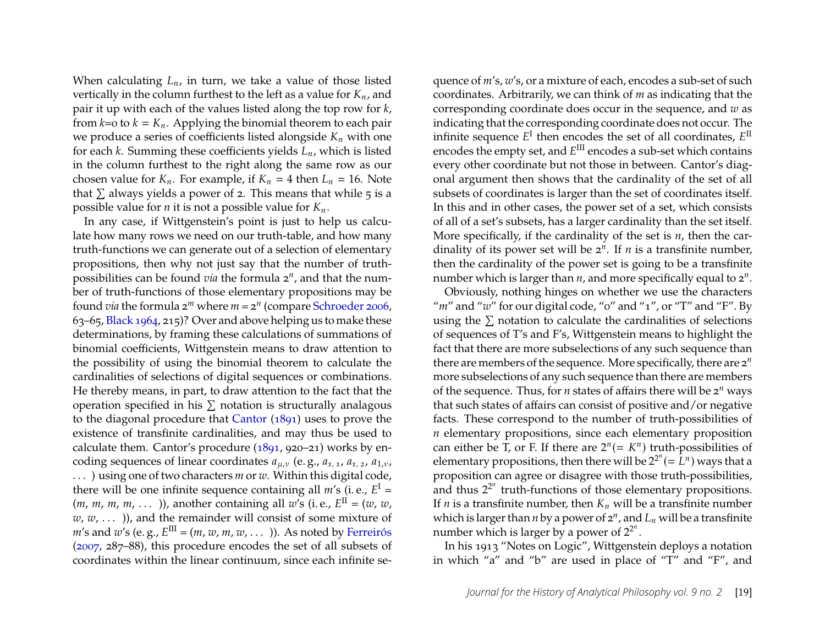When calculating  $L_n$ , in turn, we take a value of those listed vertically in the column furthest to the left as a value for  $K_n$ , and pair it up with each of the values listed along the top row for *k*, from  $k=0$  to  $k = K_n$ . Applying the binomial theorem to each pair we produce a series of coefficients listed alongside  $K_n$  with one for each  $k$ . Summing these coefficients yields  $L_n$ , which is listed in the column furthest to the right along the same row as our chosen value for  $K_n$ . For example, if  $K_n = 4$  then  $L_n = 16$ . Note that  $\Sigma$  always yields a power of 2. This means that while 5 is a possible value for *n* it is not a possible value for  $K_n$ .

In any case, if Wittgenstein's point is just to help us calculate how many rows we need on our truth-table, and how many truth-functions we can generate out of a selection of elementary propositions, then why not just say that the number of truthpossibilities can be found *via* the formula 2*<sup>n</sup>* , and that the number of truth-functions of those elementary propositions may be found *via* the formula 2*<sup>m</sup>* where *m* = 2*<sup>n</sup>* (compare [Schroeder 2006,](#page-28-7) 63–65, [Black 1964,](#page-26-8) 215)? Over and above helping us to make these determinations, by framing these calculations of summations of binomial coefficients, Wittgenstein means to draw attention to the possibility of using the binomial theorem to calculate the cardinalities of selections of digital sequences or combinations. He thereby means, in part, to draw attention to the fact that the operation specified in his  $\Sigma$  notation is structurally analagous to the diagonal procedure that [Cantor](#page-26-9) [\(1891\)](#page-26-9) uses to prove the existence of transfinite cardinalities, and may thus be used to calculate them. Cantor's procedure [\(1891,](#page-26-9) 920–21) works by encoding sequences of linear coordinates  $a_{\mu,\nu}$  (e.g.,  $a_{1,1}$ ,  $a_{1,2}$ ,  $a_{1,\nu}$ ,

. . . ) using one of two characters *m* or *w*. Within this digital code, there will be one infinite sequence containing all  $m$ 's (i.e.,  $E^I =$  $(m, m, m, m, \dots)$ ), another containing all w's (i.e.,  $E^{\text{II}} = (w, w, \dots)$  $w, w, \ldots$  )), and the remainder will consist of some mixture of  $m$ 's and  $w$ 's (e.g.,  $E^{\text{III}} = (m, w, m, w, \dots)$ ). As noted by [Ferreirós](#page-27-17) [\(2007,](#page-27-17) 287–88), this procedure encodes the set of all subsets of coordinates within the linear continuum, since each infinite se-

quence of *m*'s, *w*'s, or a mixture of each, encodes a sub-set of such coordinates. Arbitrarily, we can think of *m* as indicating that the corresponding coordinate does occur in the sequence, and *w* as indicating that the corresponding coordinate does not occur. The infinite sequence  $E^{\rm I}$  then encodes the set of all coordinates,  $E^{\rm II}$ encodes the empty set*,* and  $E^{\text{III}}$  encodes a sub-set which contains every other coordinate but not those in between. Cantor's diagonal argument then shows that the cardinality of the set of all subsets of coordinates is larger than the set of coordinates itself. In this and in other cases, the power set of a set, which consists of all of a set's subsets, has a larger cardinality than the set itself. More specifically, if the cardinality of the set is *n*, then the cardinality of its power set will be  $2^n$ . If *n* is a transfinite number, then the cardinality of the power set is going to be a transfinite number which is larger than *n*, and more specifically equal to 2*<sup>n</sup>* .

Obviously, nothing hinges on whether we use the characters "*m*" and "w" for our digital code, "o" and "1", or "T" and "F". By using the  $\Sigma$  notation to calculate the cardinalities of selections of sequences of T's and F's, Wittgenstein means to highlight the fact that there are more subselections of any such sequence than there are members of the sequence. More specifically, there are 2*<sup>n</sup>* more subselections of any such sequence than there are members of the sequence. Thus, for *n* states of affairs there will be 2*<sup>n</sup>* ways that such states of affairs can consist of positive and/or negative facts. These correspond to the number of truth-possibilities of *n* elementary propositions, since each elementary proposition can either be T, or F. If there are  $2^n (= K^n)$  truth-possibilities of elementary propositions, then there will be  $2^{2^n} (=\stackrel{\_}{L}^n)$  ways that a proposition can agree or disagree with those truth-possibilities, and thus  $2^{2^n}$  truth-functions of those elementary propositions. If *n* is a transfinite number, then  $K_n$  will be a transfinite number which is larger than  $n$  by a power of  $\mathsf{z}^n$ , and  $L_n$  will be a transfinite number which is larger by a power of  $2^{2^n}$ .

In his 1913 "Notes on Logic", Wittgenstein deploys a notation in which "a" and "b" are used in place of "T" and "F", and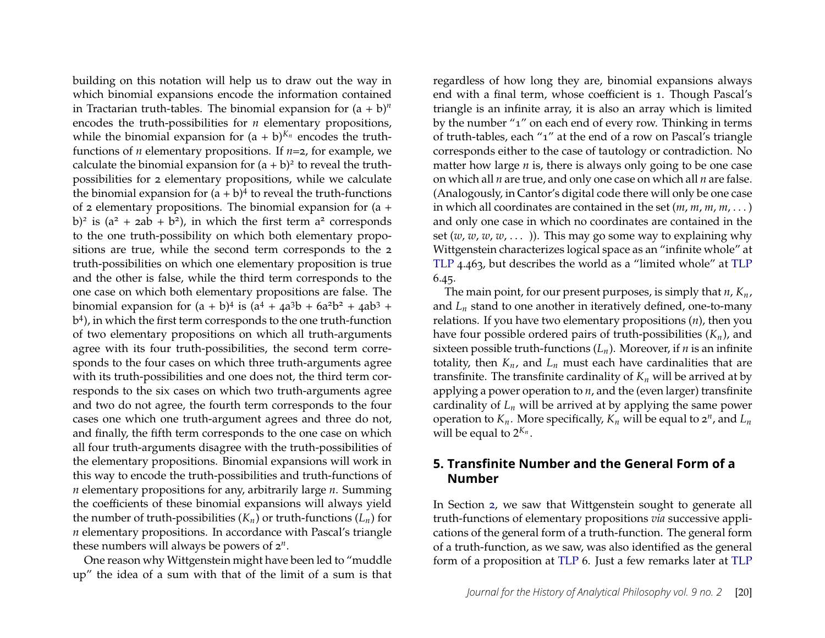building on this notation will help us to draw out the way in which binomial expansions encode the information contained in Tractarian truth-tables. The binomial expansion for  $(a + b)^n$ encodes the truth-possibilities for *n* elementary propositions, while the binomial expansion for  $(a + b)^{K_n}$  encodes the truthfunctions of *n* elementary propositions. If *n*=2, for example, we calculate the binomial expansion for  $(a + b)^2$  to reveal the truthpossibilities for 2 elementary propositions, while we calculate the binomial expansion for  $(a + b)^4$  to reveal the truth-functions of 2 elementary propositions. The binomial expansion for (a + b)<sup>2</sup> is  $(a^2 + 2ab + b^2)$ , in which the first term  $a^2$  corresponds to the one truth-possibility on which both elementary propositions are true, while the second term corresponds to the 2 truth-possibilities on which one elementary proposition is true and the other is false, while the third term corresponds to the one case on which both elementary propositions are false. The binomial expansion for  $(a + b)^4$  is  $(a^4 + 4a^3b + 6a^2b^2 + 4ab^3 + b^4b^2)$ b 4 ), in which the first term corresponds to the one truth-function of two elementary propositions on which all truth-arguments agree with its four truth-possibilities, the second term corresponds to the four cases on which three truth-arguments agree with its truth-possibilities and one does not, the third term corresponds to the six cases on which two truth-arguments agree and two do not agree, the fourth term corresponds to the four cases one which one truth-argument agrees and three do not, and finally, the fifth term corresponds to the one case on which all four truth-arguments disagree with the truth-possibilities of the elementary propositions. Binomial expansions will work in this way to encode the truth-possibilities and truth-functions of *n* elementary propositions for any, arbitrarily large *n*. Summing the coefficients of these binomial expansions will always yield the number of truth-possibilities  $(K_n)$  or truth-functions  $(L_n)$  for *n* elementary propositions. In accordance with Pascal's triangle these numbers will always be powers of 2*<sup>n</sup>* .

One reason why Wittgenstein might have been led to "muddle up" the idea of a sum with that of the limit of a sum is that

regardless of how long they are, binomial expansions always end with a final term, whose coefficient is 1. Though Pascal's triangle is an infinite array, it is also an array which is limited by the number "1" on each end of every row. Thinking in terms of truth-tables, each "1" at the end of a row on Pascal's triangle corresponds either to the case of tautology or contradiction. No matter how large *n* is, there is always only going to be one case on which all *n* are true, and only one case on which all *n* are false. (Analogously, in Cantor's digital code there will only be one case in which all coordinates are contained in the set (*m*, *m*, *m*, *m*, . . . ) and only one case in which no coordinates are contained in the set  $(w, w, w, w, \dots)$ ). This may go some way to explaining why Wittgenstein characterizes logical space as an "infinite whole" at [TLP](#page-28-0) 4.463, but describes the world as a "limited whole" at [TLP](#page-28-0) 6.45.

The main point, for our present purposes, is simply that  $n, K_n$ , and  $L_n$  stand to one another in iteratively defined, one-to-many relations. If you have two elementary propositions (*n*), then you have four possible ordered pairs of truth-possibilities  $(K_n)$ , and sixteen possible truth-functions  $(L_n)$ . Moreover, if *n* is an infinite totality, then  $K_n$ , and  $L_n$  must each have cardinalities that are transfinite. The transfinite cardinality of  $K_n$  will be arrived at by applying a power operation to *n*, and the (even larger) transfinite cardinality of  $L_n$  will be arrived at by applying the same power operation to  $K_n$ . More specifically,  $K_n$  will be equal to  $2^n$ , and  $L_n$ will be equal to  $2^{K_n}$ .

#### <span id="page-20-0"></span>**5. Transfinite Number and the General Form of a Number**

In Section [2,](#page-3-0) we saw that Wittgenstein sought to generate all truth-functions of elementary propositions *via* successive applications of the general form of a truth-function. The general form of a truth-function, as we saw, was also identified as the general form of a proposition at [TLP](#page-28-0) 6. Just a few remarks later at [TLP](#page-28-0)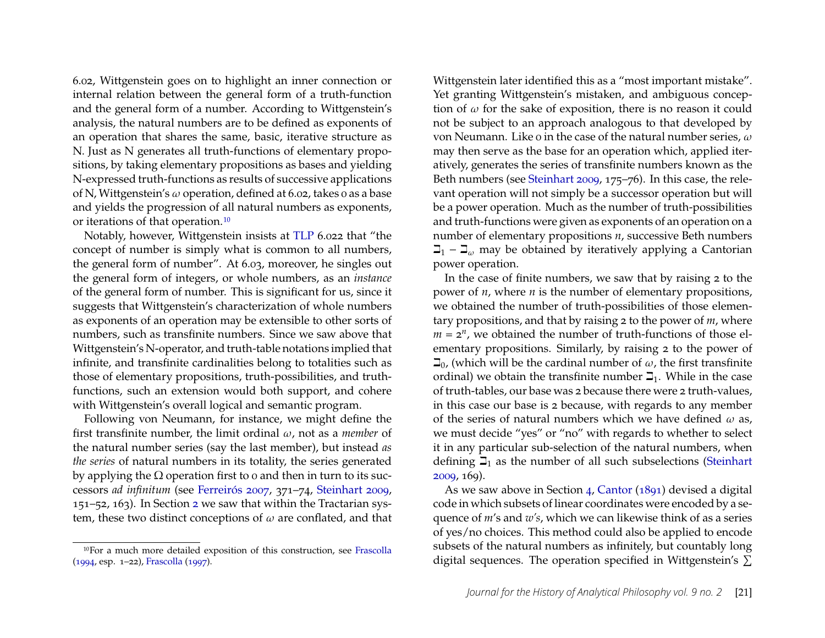6.02, Wittgenstein goes on to highlight an inner connection or internal relation between the general form of a truth-function and the general form of a number. According to Wittgenstein's analysis, the natural numbers are to be defined as exponents of an operation that shares the same, basic, iterative structure as N. Just as N generates all truth-functions of elementary propositions, by taking elementary propositions as bases and yielding N-expressed truth-functions as results of successive applications of N, Wittgenstein's  $\omega$  operation, defined at 6.02, takes 0 as a base and yields the progression of all natural numbers as exponents, or iterations of that operation.[10](#page-21-0)

Notably, however, Wittgenstein insists at [TLP](#page-28-0) 6.022 that "the concept of number is simply what is common to all numbers, the general form of number". At 6.03, moreover, he singles out the general form of integers, or whole numbers, as an *instance* of the general form of number. This is significant for us, since it suggests that Wittgenstein's characterization of whole numbers as exponents of an operation may be extensible to other sorts of numbers, such as transfinite numbers. Since we saw above that Wittgenstein's N-operator, and truth-table notations implied that infinite, and transfinite cardinalities belong to totalities such as those of elementary propositions, truth-possibilities, and truthfunctions, such an extension would both support, and cohere with Wittgenstein's overall logical and semantic program.

Following von Neumann, for instance, we might define the first transfinite number, the limit ordinal  $\omega$ , not as a *member* of the natural number series (say the last member), but instead *as the series* of natural numbers in its totality, the series generated by applying the  $\Omega$  operation first to 0 and then in turn to its successors *ad infinitum* (see [Ferreirós 2007,](#page-27-17) 371–74, [Steinhart 2009,](#page-28-5) 151–52, 163). In Section [2](#page-3-0) we saw that within the Tractarian system, these two distinct conceptions of  $\omega$  are conflated, and that Wittgenstein later identified this as a "most important mistake". Yet granting Wittgenstein's mistaken, and ambiguous conception of  $\omega$  for the sake of exposition, there is no reason it could not be subject to an approach analogous to that developed by von Neumann. Like 0 in the case of the natural number series,  $\omega$ may then serve as the base for an operation which, applied iteratively, generates the series of transfinite numbers known as the Beth numbers (see [Steinhart 2009,](#page-28-5) 175–76). In this case, the relevant operation will not simply be a successor operation but will be a power operation. Much as the number of truth-possibilities and truth-functions were given as exponents of an operation on a number of elementary propositions *n*, successive Beth numbers  $\Box_1$  –  $\Box_\omega$  may be obtained by iteratively applying a Cantorian power operation.

In the case of finite numbers, we saw that by raising 2 to the power of *n*, where *n* is the number of elementary propositions, we obtained the number of truth-possibilities of those elementary propositions, and that by raising 2 to the power of *m*, where  $m = 2^n$ , we obtained the number of truth-functions of those elementary propositions. Similarly, by raising 2 to the power of  $\Box$ <sub>0</sub>, (which will be the cardinal number of  $\omega$ , the first transfinite ordinal) we obtain the transfinite number  $\mathbb{I}_1$ . While in the case of truth-tables, our base was 2 because there were 2 truth-values, in this case our base is 2 because, with regards to any member of the series of natural numbers which we have defined  $\omega$  as, we must decide "yes" or "no" with regards to whether to select it in any particular sub-selection of the natural numbers, when defining  $\mathbb{I}_1$  as the number of all such subselections [\(Steinhart](#page-28-5) [2009,](#page-28-5) 169).

As we saw above in Section [4,](#page-14-0) [Cantor](#page-26-9) [\(1891\)](#page-26-9) devised a digital code in which subsets of linear coordinates were encoded by a sequence of *m*'s and *w's*, which we can likewise think of as a series of yes/no choices. This method could also be applied to encode subsets of the natural numbers as infinitely, but countably long digital sequences. The operation specified in Wittgenstein's  $\Sigma$ 

<span id="page-21-0"></span><sup>10</sup>For a much more detailed exposition of this construction, see [Frascolla](#page-27-18) [\(1994,](#page-27-18) esp. 1–22), [Frascolla](#page-27-1) [\(1997\)](#page-27-1).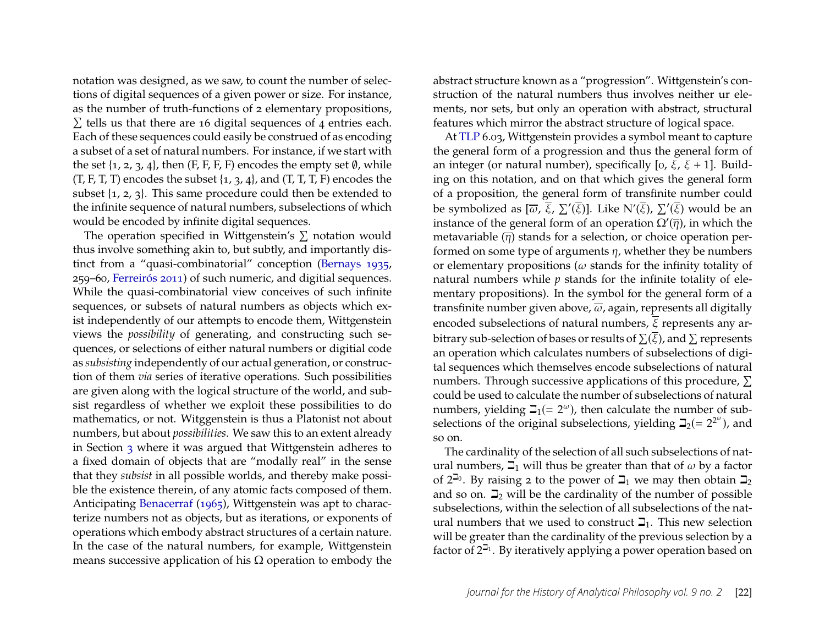notation was designed, as we saw, to count the number of selections of digital sequences of a given power or size. For instance, as the number of truth-functions of 2 elementary propositions,  $\Sigma$  tells us that there are 16 digital sequences of 4 entries each. Each of these sequences could easily be construed of as encoding a subset of a set of natural numbers. For instance, if we start with the set  $\{1, 2, 3, 4\}$ , then  $(F, F, F, F)$  encodes the empty set  $\emptyset$ , while  $(T, F, T, T)$  encodes the subset  $\{1, 3, 4\}$ , and  $(T, T, T, F)$  encodes the subset {1, 2, 3}. This same procedure could then be extended to the infinite sequence of natural numbers, subselections of which would be encoded by infinite digital sequences.

The operation specified in Wittgenstein's  $\Sigma$  notation would thus involve something akin to, but subtly, and importantly distinct from a "quasi-combinatorial" conception [\(Bernays 1935,](#page-26-10) 259–60, [Ferreirós 2011\)](#page-27-19) of such numeric, and digitial sequences. While the quasi-combinatorial view conceives of such infinite sequences, or subsets of natural numbers as objects which exist independently of our attempts to encode them, Wittgenstein views the *possibility* of generating, and constructing such sequences, or selections of either natural numbers or digitial code as *subsisting* independently of our actual generation, or construction of them *via* series of iterative operations. Such possibilities are given along with the logical structure of the world, and subsist regardless of whether we exploit these possibilities to do mathematics, or not. Witggenstein is thus a Platonist not about numbers, but about *possibilities*. We saw this to an extent already in Section [3](#page-9-0) where it was argued that Wittgenstein adheres to a fixed domain of objects that are "modally real" in the sense that they *subsist* in all possible worlds, and thereby make possible the existence therein, of any atomic facts composed of them. Anticipating [Benacerraf](#page-26-11) [\(1965\)](#page-26-11), Wittgenstein was apt to characterize numbers not as objects, but as iterations, or exponents of operations which embody abstract structures of a certain nature. In the case of the natural numbers, for example, Wittgenstein means successive application of his  $\Omega$  operation to embody the

abstract structure known as a "progression". Wittgenstein's construction of the natural numbers thus involves neither ur elements, nor sets, but only an operation with abstract, structural features which mirror the abstract structure of logical space.

At [TLP](#page-28-0) 6.03, Wittgenstein provides a symbol meant to capture the general form of a progression and thus the general form of an integer (or natural number), specifically  $[0, \xi, \xi + 1]$ . Building on this notation, and on that which gives the general form of a proposition, the general form of transfinite number could be symbolized as  $[ \overline \omega, \overline \xi, \, \Sigma'(\overline \xi) ]$ . Like N' $(\overline \xi), \, \Sigma'(\overline \xi)$  would be an instance of the general form of an operation  $\Omega'(\overline{\eta})$ , in which the metavariable  $(\overline{\eta})$  stands for a selection, or choice operation performed on some type of arguments  $\eta$ , whether they be numbers or elementary propositions ( $\omega$  stands for the infinity totality of natural numbers while *p* stands for the infinite totality of elementary propositions). In the symbol for the general form of a transfinite number given above,  $\overline{\omega}$ , again, represents all digitally encoded subselections of natural numbers,  $\overline{\xi}$  represents any arbitrary sub-selection of bases or results of  $\Sigma(\overline{\xi})$ , and  $\Sigma$  represents an operation which calculates numbers of subselections of digital sequences which themselves encode subselections of natural numbers. Through successive applications of this procedure,  $\Sigma$ could be used to calculate the number of subselections of natural numbers, yielding  $\mathbb{I}_1(= 2^{\omega})$ , then calculate the number of subselections of the original subselections, yielding  $\beth_2(= 2^{2^{\omega}})$ , and so on.

The cardinality of the selection of all such subselections of natural numbers,  $\Box$  will thus be greater than that of  $\omega$  by a factor of  $2^{\mathbb{J}_0}$ . By raising 2 to the power of  $\mathbb{J}_1$  we may then obtain  $\mathbb{J}_2$ and so on.  $\mathbb{Z}_2$  will be the cardinality of the number of possible subselections, within the selection of all subselections of the natural numbers that we used to construct  $\mathbb{I}_1$ . This new selection will be greater than the cardinality of the previous selection by a factor of  $2^{\mathsf{Z}_1}$ . By iteratively applying a power operation based on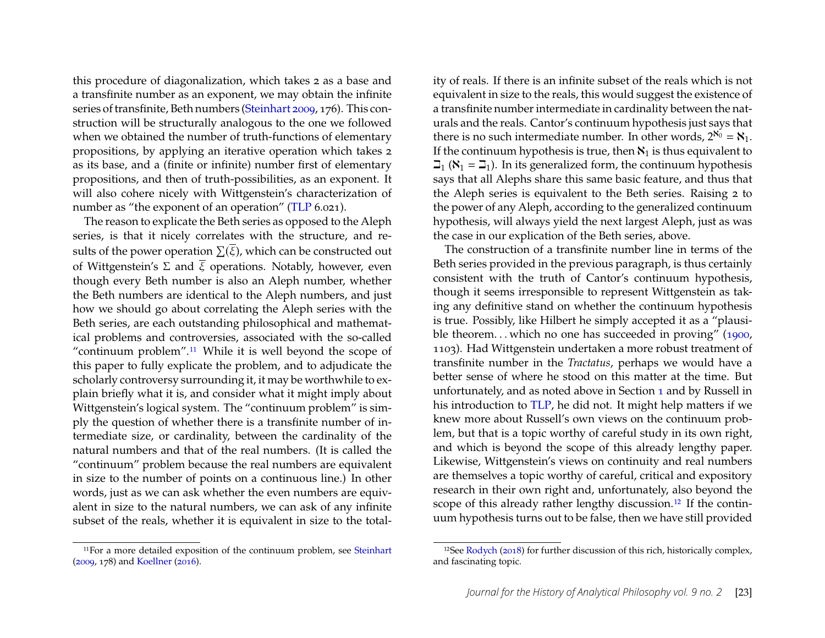this procedure of diagonalization, which takes 2 as a base and a transfinite number as an exponent, we may obtain the infinite series of transfinite, Beth numbers [\(Steinhart 2009,](#page-28-5) 176). This construction will be structurally analogous to the one we followed when we obtained the number of truth-functions of elementary propositions, by applying an iterative operation which takes 2 as its base, and a (finite or infinite) number first of elementary propositions, and then of truth-possibilities, as an exponent. It will also cohere nicely with Wittgenstein's characterization of number as "the exponent of an operation" [\(TLP](#page-28-0) 6.021).

The reason to explicate the Beth series as opposed to the Aleph series, is that it nicely correlates with the structure, and results of the power operation  $\Sigma(\overline{\xi})$ , which can be constructed out of Wittgenstein's  $\Sigma$  and  $\overline{\xi}$  operations. Notably, however, even though every Beth number is also an Aleph number, whether the Beth numbers are identical to the Aleph numbers, and just how we should go about correlating the Aleph series with the Beth series, are each outstanding philosophical and mathematical problems and controversies, associated with the so-called "continuum problem".[11](#page-23-0) While it is well beyond the scope of this paper to fully explicate the problem, and to adjudicate the scholarly controversy surrounding it, it may be worthwhile to explain briefly what it is, and consider what it might imply about Wittgenstein's logical system. The "continuum problem" is simply the question of whether there is a transfinite number of intermediate size, or cardinality, between the cardinality of the natural numbers and that of the real numbers. (It is called the "continuum" problem because the real numbers are equivalent in size to the number of points on a continuous line.) In other words, just as we can ask whether the even numbers are equivalent in size to the natural numbers, we can ask of any infinite subset of the reals, whether it is equivalent in size to the total-

<span id="page-23-0"></span>11For a more detailed exposition of the continuum problem, see [Steinhart](#page-28-5) [\(2009,](#page-28-5) 178) and [Koellner](#page-27-20) [\(2016\)](#page-27-20).

ity of reals. If there is an infinite subset of the reals which is not equivalent in size to the reals, this would suggest the existence of a transfinite number intermediate in cardinality between the naturals and the reals. Cantor's continuum hypothesis just says that there is no such intermediate number. In other words,  $2^{\aleph_0} = \aleph_1$ . If the continuum hypothesis is true, then  $\aleph_1$  is thus equivalent to  $\mathbb{Z}_1$  ( $\mathbb{N}_1 = \mathbb{Z}_1$ ). In its generalized form, the continuum hypothesis says that all Alephs share this same basic feature, and thus that the Aleph series is equivalent to the Beth series. Raising 2 to the power of any Aleph, according to the generalized continuum hypothesis, will always yield the next largest Aleph, just as was the case in our explication of the Beth series, above.

The construction of a transfinite number line in terms of the Beth series provided in the previous paragraph, is thus certainly consistent with the truth of Cantor's continuum hypothesis, though it seems irresponsible to represent Wittgenstein as taking any definitive stand on whether the continuum hypothesis is true. Possibly, like Hilbert he simply accepted it as a "plausible theorem. . . which no one has succeeded in proving" [\(1900,](#page-27-21) 1103). Had Wittgenstein undertaken a more robust treatment of transfinite number in the *Tractatus*, perhaps we would have a better sense of where he stood on this matter at the time. But unfortunately, and as noted above in Section [1](#page-1-1) and by Russell in his introduction to [TLP,](#page-28-0) he did not. It might help matters if we knew more about Russell's own views on the continuum problem, but that is a topic worthy of careful study in its own right, and which is beyond the scope of this already lengthy paper. Likewise, Wittgenstein's views on continuity and real numbers are themselves a topic worthy of careful, critical and expository research in their own right and, unfortunately, also beyond the scope of this already rather lengthy discussion.<sup>[12](#page-23-1)</sup> If the continuum hypothesis turns out to be false, then we have still provided

<span id="page-23-1"></span><sup>12</sup>See [Rodych](#page-27-22) [\(2018\)](#page-27-22) for further discussion of this rich, historically complex, and fascinating topic.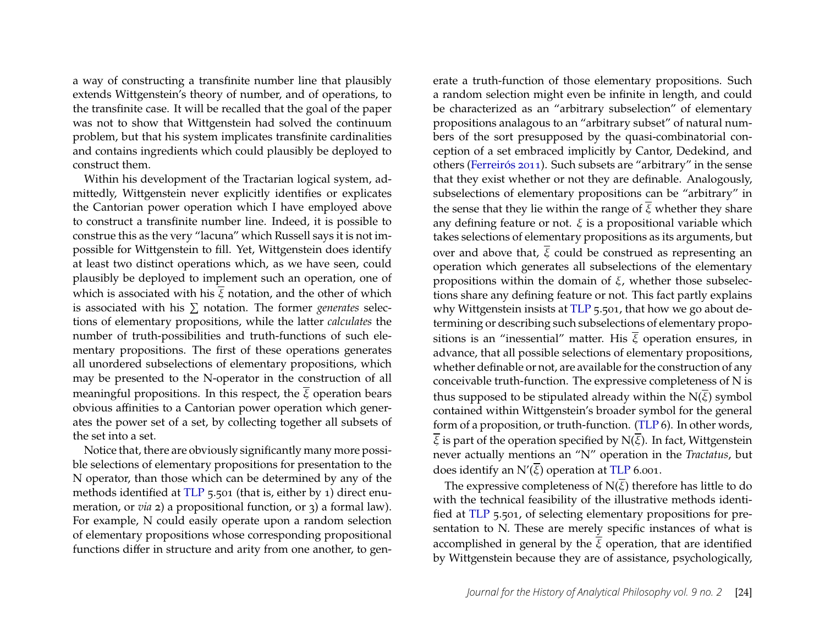a way of constructing a transfinite number line that plausibly extends Wittgenstein's theory of number, and of operations, to the transfinite case. It will be recalled that the goal of the paper was not to show that Wittgenstein had solved the continuum problem, but that his system implicates transfinite cardinalities and contains ingredients which could plausibly be deployed to construct them.

Within his development of the Tractarian logical system, admittedly, Wittgenstein never explicitly identifies or explicates the Cantorian power operation which I have employed above to construct a transfinite number line. Indeed, it is possible to construe this as the very "lacuna" which Russell says it is not impossible for Wittgenstein to fill. Yet, Wittgenstein does identify at least two distinct operations which, as we have seen, could plausibly be deployed to implement such an operation, one of which is associated with his  $\overline{\xi}$  notation, and the other of which is associated with his  $\sum$  notation. The former *generates* selections of elementary propositions, while the latter *calculates* the number of truth-possibilities and truth-functions of such elementary propositions. The first of these operations generates all unordered subselections of elementary propositions, which may be presented to the N-operator in the construction of all meaningful propositions. In this respect, the  $\overline{\xi}$  operation bears obvious affinities to a Cantorian power operation which generates the power set of a set, by collecting together all subsets of the set into a set.

Notice that, there are obviously significantly many more possible selections of elementary propositions for presentation to the N operator, than those which can be determined by any of the methods identified at [TLP](#page-28-0) 5.501 (that is, either by 1) direct enumeration, or *via* 2) a propositional function, or 3) a formal law). For example, N could easily operate upon a random selection of elementary propositions whose corresponding propositional functions differ in structure and arity from one another, to gen-

erate a truth-function of those elementary propositions. Such a random selection might even be infinite in length, and could be characterized as an "arbitrary subselection" of elementary propositions analagous to an "arbitrary subset" of natural numbers of the sort presupposed by the quasi-combinatorial conception of a set embraced implicitly by Cantor, Dedekind, and others [\(Ferreirós 2011\)](#page-27-19). Such subsets are "arbitrary" in the sense that they exist whether or not they are definable. Analogously, subselections of elementary propositions can be "arbitrary" in the sense that they lie within the range of  $\overline{\xi}$  whether they share any defining feature or not.  $\xi$  is a propositional variable which takes selections of elementary propositions as its arguments, but over and above that,  $\overline{\xi}$  could be construed as representing an operation which generates all subselections of the elementary propositions within the domain of  $\xi$ , whether those subselections share any defining feature or not. This fact partly explains why Wittgenstein insists at [TLP](#page-28-0) 5.501, that how we go about determining or describing such subselections of elementary propositions is an "inessential" matter. His  $\overline{\xi}$  operation ensures, in advance, that all possible selections of elementary propositions, whether definable or not, are available for the construction of any conceivable truth-function. The expressive completeness of N is thus supposed to be stipulated already within the  $N(\overline{\xi})$  symbol contained within Wittgenstein's broader symbol for the general form of a proposition, or truth-function. [\(TLP](#page-28-0) 6). In other words,  $\overline{\xi}$  is part of the operation specified by N( $\overline{\xi}$ ). In fact, Wittgenstein never actually mentions an "N" operation in the *Tractatus*, but does identify an  $N'(\overline{\xi})$  operation at [TLP](#page-28-0) 6.001.

The expressive completeness of  $N(\overline{\xi})$  therefore has little to do with the technical feasibility of the illustrative methods identified at [TLP](#page-28-0) 5.501, of selecting elementary propositions for presentation to N. These are merely specific instances of what is accomplished in general by the  $\overline{\xi}$  operation, that are identified by Wittgenstein because they are of assistance, psychologically,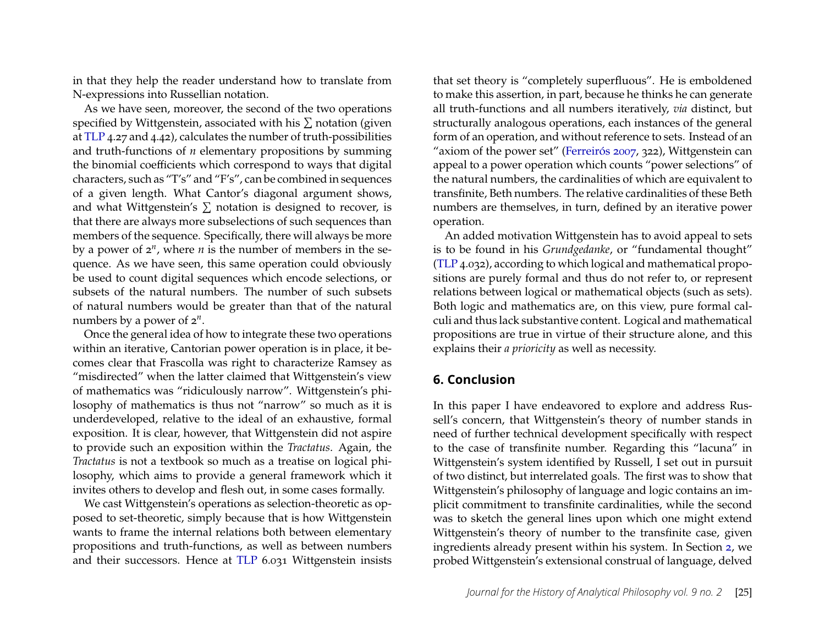in that they help the reader understand how to translate from N-expressions into Russellian notation.

As we have seen, moreover, the second of the two operations specified by Wittgenstein, associated with his  $\Sigma$  notation (given at [TLP](#page-28-0) 4.27 and 4.42), calculates the number of truth-possibilities and truth-functions of *n* elementary propositions by summing the binomial coefficients which correspond to ways that digital characters, such as "T's" and "F's", can be combined in sequences of a given length. What Cantor's diagonal argument shows, and what Wittgenstein's  $\Sigma$  notation is designed to recover, is that there are always more subselections of such sequences than members of the sequence. Specifically, there will always be more by a power of  $2^n$ , where  $n$  is the number of members in the sequence. As we have seen, this same operation could obviously be used to count digital sequences which encode selections, or subsets of the natural numbers. The number of such subsets of natural numbers would be greater than that of the natural numbers by a power of 2*<sup>n</sup>* .

Once the general idea of how to integrate these two operations within an iterative, Cantorian power operation is in place, it becomes clear that Frascolla was right to characterize Ramsey as "misdirected" when the latter claimed that Wittgenstein's view of mathematics was "ridiculously narrow". Wittgenstein's philosophy of mathematics is thus not "narrow" so much as it is underdeveloped, relative to the ideal of an exhaustive, formal exposition. It is clear, however, that Wittgenstein did not aspire to provide such an exposition within the *Tractatus*. Again, the *Tractatus* is not a textbook so much as a treatise on logical philosophy, which aims to provide a general framework which it invites others to develop and flesh out, in some cases formally.

We cast Wittgenstein's operations as selection-theoretic as opposed to set-theoretic, simply because that is how Wittgenstein wants to frame the internal relations both between elementary propositions and truth-functions, as well as between numbers and their successors. Hence at [TLP](#page-28-0) 6.031 Wittgenstein insists that set theory is "completely superfluous". He is emboldened to make this assertion, in part, because he thinks he can generate all truth-functions and all numbers iteratively, *via* distinct, but structurally analogous operations, each instances of the general form of an operation, and without reference to sets. Instead of an "axiom of the power set" [\(Ferreirós 2007,](#page-27-17) 322), Wittgenstein can appeal to a power operation which counts "power selections" of the natural numbers, the cardinalities of which are equivalent to transfinite, Beth numbers. The relative cardinalities of these Beth numbers are themselves, in turn, defined by an iterative power operation.

An added motivation Wittgenstein has to avoid appeal to sets is to be found in his *Grundgedanke*, or "fundamental thought" [\(TLP](#page-28-0) 4.032), according to which logical and mathematical propositions are purely formal and thus do not refer to, or represent relations between logical or mathematical objects (such as sets). Both logic and mathematics are, on this view, pure formal calculi and thus lack substantive content. Logical and mathematical propositions are true in virtue of their structure alone, and this explains their *a prioricity* as well as necessity.

#### **6. Conclusion**

In this paper I have endeavored to explore and address Russell's concern, that Wittgenstein's theory of number stands in need of further technical development specifically with respect to the case of transfinite number. Regarding this "lacuna" in Wittgenstein's system identified by Russell, I set out in pursuit of two distinct, but interrelated goals. The first was to show that Wittgenstein's philosophy of language and logic contains an implicit commitment to transfinite cardinalities, while the second was to sketch the general lines upon which one might extend Wittgenstein's theory of number to the transfinite case, given ingredients already present within his system. In Section [2,](#page-3-0) we probed Wittgenstein's extensional construal of language, delved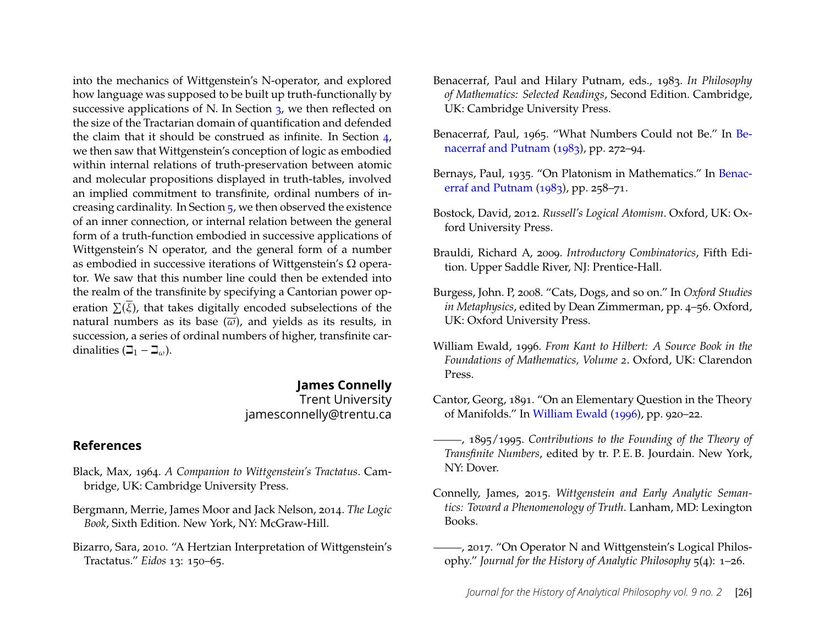into the mechanics of Wittgenstein's N-operator, and explored how language was supposed to be built up truth-functionally by successive applications of N. In Section [3,](#page-9-0) we then reflected on the size of the Tractarian domain of quantification and defended the claim that it should be construed as infinite. In Section [4,](#page-14-0) we then saw that Wittgenstein's conception of logic as embodied within internal relations of truth-preservation between atomic and molecular propositions displayed in truth-tables, involved an implied commitment to transfinite, ordinal numbers of increasing cardinality. In Section [5,](#page-20-0) we then observed the existence of an inner connection, or internal relation between the general form of a truth-function embodied in successive applications of Wittgenstein's N operator, and the general form of a number as embodied in successive iterations of Wittgenstein's  $\Omega$  operator. We saw that this number line could then be extended into the realm of the transfinite by specifying a Cantorian power operation  $\Sigma(\overline{\xi})$ , that takes digitally encoded subselections of the natural numbers as its base  $(\overline{\omega})$ , and yields as its results, in succession, a series of ordinal numbers of higher, transfinite cardinalities  $(\beth_1 - \beth_{\omega})$ .

#### **James Connelly**

Trent University jamesconnelly@trentu.ca

#### **References**

- <span id="page-26-8"></span>Black, Max, 1964. *A Companion to Wittgenstein's Tractatus*. Cambridge, UK: Cambridge University Press.
- <span id="page-26-6"></span>Bergmann, Merrie, James Moor and Jack Nelson, 2014. *The Logic Book*, Sixth Edition. New York, NY: McGraw-Hill.
- <span id="page-26-3"></span>Bizarro, Sara, 2010. "A Hertzian Interpretation of Wittgenstein's Tractatus." *Eidos* 13: 150–65.
- <span id="page-26-12"></span>Benacerraf, Paul and Hilary Putnam, eds., 1983. *In Philosophy of Mathematics: Selected Readings*, Second Edition. Cambridge, UK: Cambridge University Press.
- <span id="page-26-11"></span>Benacerraf, Paul, 1965. "What Numbers Could not Be." In [Be](#page-26-12)[nacerraf and Putnam](#page-26-12) [\(1983\)](#page-26-12), pp. 272–94.
- <span id="page-26-10"></span>Bernays, Paul, 1935. "On Platonism in Mathematics." In [Benac](#page-26-12)[erraf and Putnam](#page-26-12) [\(1983\)](#page-26-12), pp. 258–71.
- <span id="page-26-2"></span>Bostock, David, 2012. *Russell's Logical Atomism*. Oxford, UK: Oxford University Press.
- <span id="page-26-7"></span>Brauldi, Richard A, 2009. *Introductory Combinatorics*, Fifth Edition. Upper Saddle River, NJ: Prentice-Hall.
- <span id="page-26-1"></span>Burgess, John. P, 2008. "Cats, Dogs, and so on." In *Oxford Studies in Metaphysics*, edited by Dean Zimmerman, pp. 4–56. Oxford, UK: Oxford University Press.
- <span id="page-26-13"></span>William Ewald, 1996. *From Kant to Hilbert: A Source Book in the Foundations of Mathematics, Volume 2*. Oxford, UK: Clarendon Press.
- <span id="page-26-9"></span>Cantor, Georg, 1891. "On an Elementary Question in the Theory of Manifolds." In [William Ewald](#page-26-13) [\(1996\)](#page-26-13), pp. 920–22.
- <span id="page-26-5"></span>, 1895/1995. *Contributions to the Founding of the Theory of Transfinite Numbers*, edited by tr. P. E. B. Jourdain. New York, NY: Dover.
- <span id="page-26-4"></span>Connelly, James, 2015. *Wittgenstein and Early Analytic Semantics: Toward a Phenomenology of Truth*. Lanham, MD: Lexington Books.
- <span id="page-26-0"></span>(2017. "On Operator N and Wittgenstein's Logical Philosophy." *Journal for the History of Analytic Philosophy* 5(4): 1–26.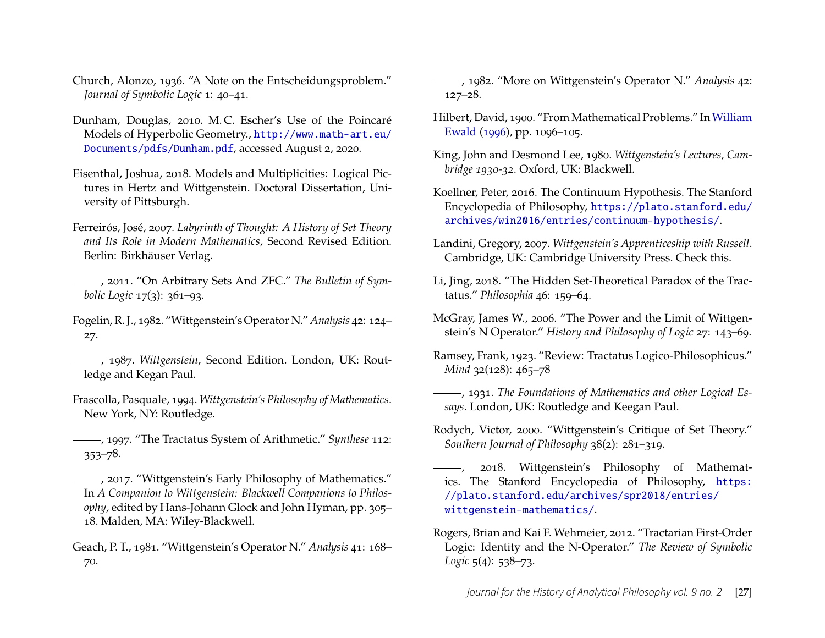- <span id="page-27-15"></span>Church, Alonzo, 1936. "A Note on the Entscheidungsproblem." *Journal of Symbolic Logic* 1: 40–41.
- <span id="page-27-16"></span>Dunham, Douglas, 2010. M. C. Escher's Use of the Poincaré Models of Hyperbolic Geometry., [http://www.math-art.eu/](http://www.math-art.eu/Documents/pdfs/Dunham.pdf) [Documents/pdfs/Dunham.pdf](http://www.math-art.eu/Documents/pdfs/Dunham.pdf), accessed August 2, 2020.
- <span id="page-27-14"></span>Eisenthal, Joshua, 2018. Models and Multiplicities: Logical Pictures in Hertz and Wittgenstein. Doctoral Dissertation, University of Pittsburgh.
- <span id="page-27-17"></span>Ferreirós, José, 2007. *Labyrinth of Thought: A History of Set Theory and Its Role in Modern Mathematics*, Second Revised Edition. Berlin: Birkhäuser Verlag.
- <span id="page-27-19"></span>, 2011. "On Arbitrary Sets And ZFC." *The Bulletin of Symbolic Logic* 17(3): 361–93.
- <span id="page-27-5"></span>Fogelin, R. J., 1982. "Wittgenstein's Operator N." *Analysis* 42: 124– 27.
- <span id="page-27-6"></span>, 1987. *Wittgenstein*, Second Edition. London, UK: Routledge and Kegan Paul.
- <span id="page-27-18"></span>Frascolla, Pasquale, 1994. *Wittgenstein's Philosophy of Mathematics*. New York, NY: Routledge.
- <span id="page-27-1"></span>, 1997. "The Tractatus System of Arithmetic." *Synthese* 112: 353–78.
- <span id="page-27-2"></span>(2017. "Wittgenstein's Early Philosophy of Mathematics." In *A Companion to Wittgenstein: Blackwell Companions to Philosophy*, edited by Hans-Johann Glock and John Hyman, pp. 305– 18. Malden, MA: Wiley-Blackwell.
- <span id="page-27-8"></span>Geach, P. T., 1981. "Wittgenstein's Operator N." *Analysis* 41: 168– 70.

<span id="page-27-9"></span>, 1982. "More on Wittgenstein's Operator N." *Analysis* 42: 127–28.

- <span id="page-27-21"></span>Hilbert, David, 1900. "From Mathematical Problems." In[William](#page-26-13) [Ewald](#page-26-13) [\(1996\)](#page-26-13), pp. 1096–105.
- <span id="page-27-12"></span>King, John and Desmond Lee, 1980. *Wittgenstein's Lectures, Cambridge 1930-32*. Oxford, UK: Blackwell.
- <span id="page-27-20"></span>Koellner, Peter, 2016. The Continuum Hypothesis. The Stanford Encyclopedia of Philosophy, [https://plato.stanford.edu/](https://plato.stanford.edu/archives/win2016/entries/continuum-hypothesis/) [archives/win2016/entries/continuum-hypothesis/](https://plato.stanford.edu/archives/win2016/entries/continuum-hypothesis/).
- <span id="page-27-7"></span>Landini, Gregory, 2007. *Wittgenstein's Apprenticeship with Russell*. Cambridge, UK: Cambridge University Press. Check this.
- <span id="page-27-4"></span>Li, Jing, 2018. "The Hidden Set-Theoretical Paradox of the Tractatus." *Philosophia* 46: 159–64.
- <span id="page-27-10"></span>McGray, James W., 2006. "The Power and the Limit of Wittgenstein's N Operator." *History and Philosophy of Logic* 27: 143–69.
- <span id="page-27-13"></span>Ramsey, Frank, 1923. "Review: Tractatus Logico-Philosophicus." *Mind* 32(128): 465-78
- <span id="page-27-3"></span>, 1931. *The Foundations of Mathematics and other Logical Essays*. London, UK: Routledge and Keegan Paul.
- <span id="page-27-0"></span>Rodych, Victor, 2000. "Wittgenstein's Critique of Set Theory." *Southern Journal of Philosophy* 38(2): 281–319.
- <span id="page-27-22"></span>, 2018. Wittgenstein's Philosophy of Mathematics. The Stanford Encyclopedia of Philosophy, [https:](https://plato.stanford.edu/archives/spr2018/entries/wittgenstein-mathematics/) [//plato.stanford.edu/archives/spr2018/entries/](https://plato.stanford.edu/archives/spr2018/entries/wittgenstein-mathematics/) [wittgenstein-mathematics/](https://plato.stanford.edu/archives/spr2018/entries/wittgenstein-mathematics/).
- <span id="page-27-11"></span>Rogers, Brian and Kai F. Wehmeier, 2012. "Tractarian First-Order Logic: Identity and the N-Operator." *The Review of Symbolic Logic* 5(4): 538–73.